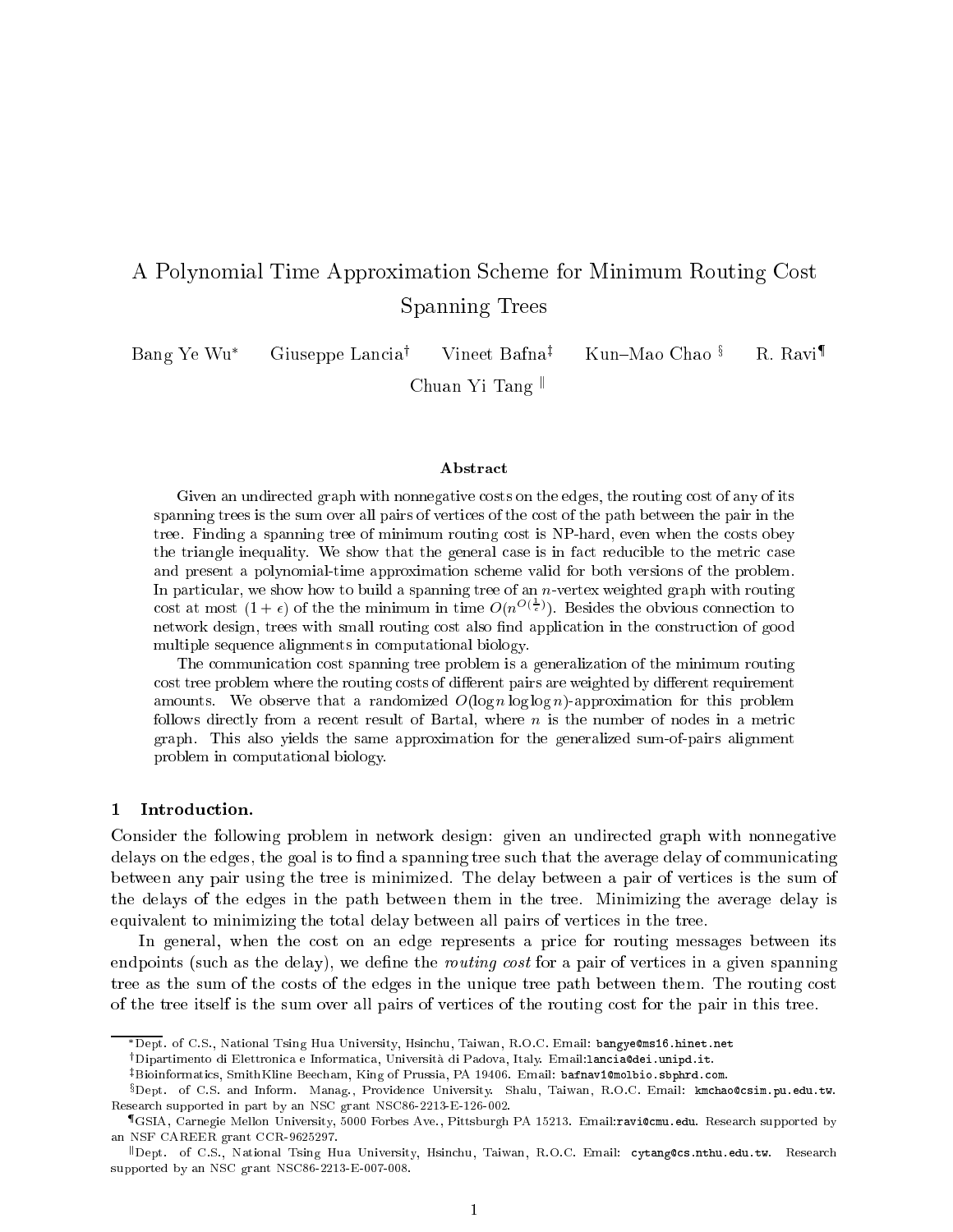# A Polynomial Time Approximation Scheme for Minimum Routing Cost Spanning Trees

Bang Ye Wu\* Giuseppe Lancia<sup>†</sup> Vineet Bafna<sup>‡</sup> Kun–Mao Chao <sup>§</sup> R. Ravi<sup>¶</sup> Unuan II Tang "

#### Abstract

Given an undirected graph with nonnegative costs on the edges, the routing cost of any of its spanning trees is the sum over all pairs of vertices of the cost of the path between the pair in the tree. Finding a spanning tree of minimum routing cost is NP-hard, even when the costs obey the triangle inequality. We show that the general case is in fact reducible to the metric case and present a polynomial-time approximation scheme valid for both versions of the problem. In particular, we show how to build a spanning tree of an  $n$ -vertex weighted graph with routing cost at most  $(1 + \epsilon)$  of the the minimum in time  $O(n^{\mathcal{O}(\frac{1}{\epsilon})})$ . Besides the obvious connection to network design, trees with small routing cost also find application in the construction of good multiple sequence alignments in computational biology.

The communication cost spanning tree problem is a generalization of the minimum routing cost tree problem where the routing costs of different pairs are weighted by different requirement amounts. We observe that a randomized  $O(\log n \log \log n)$ -approximation for this problem follows directly from a recent result of Bartal, where  $n$  is the number of nodes in a metric graph. This also yields the same approximation for the generalized sum-of-pairs alignment problem in computational biology.

#### 1 Introduction.

Consider the following problem in network design: given an undirected graph with nonnegative delays on the edges, the goal is to find a spanning tree such that the average delay of communicating between any pair using the tree is minimized. The delay between a pair of vertices is the sum of the delays of the edges in the path between them in the tree. Minimizing the average delay is equivalent to minimizing the total delay between all pairs of vertices in the tree.

In general, when the cost on an edge represents a price for routing messages between its endpoints (such as the delay), we define the *routing cost* for a pair of vertices in a given spanning tree as the sum of the costs of the edges in the unique tree path between them. The routing cost of the tree itself is the sum over all pairs of vertices of the routing cost for the pair in this tree.

<sup>\*</sup>Dept. of C.S., National Tsing Hua University, Hsinchu, Taiwan, R.O.C. Email: bangye@ms16.hinet.net

<sup>&</sup>lt;sup>†</sup>Dipartimento di Elettronica e Informatica, Università di Padova, Italy. Email:lancia@dei.unipd.it.

<sup>&</sup>lt;sup>‡</sup>Bioinformatics, SmithKline Beecham, King of Prussia, PA 19406. Email: bafnav1@molbio.sbphrd.com.

xDept. of C.S. and Inform. Manag., Providence University. Shalu, Taiwan, R.O.C. Email: kmchao@csim.pu.edu.tw. Research supported in part by an NSC grant NSC86-2213-E-126-002.

<sup>{</sup>GSIA, Carnegie Mellon University, 5000 Forbes Ave., Pittsburgh PA 15213. Email:ravi@cmu.edu. Research supported by an NSF CAREER grant CCR-9625297.

kDept. of C.S., National Tsing Hua University, Hsinchu, Taiwan, R.O.C. Email: cytang@cs.nthu.edu.tw. Research supported by an NSC grant NSC86-2213-E-007-008.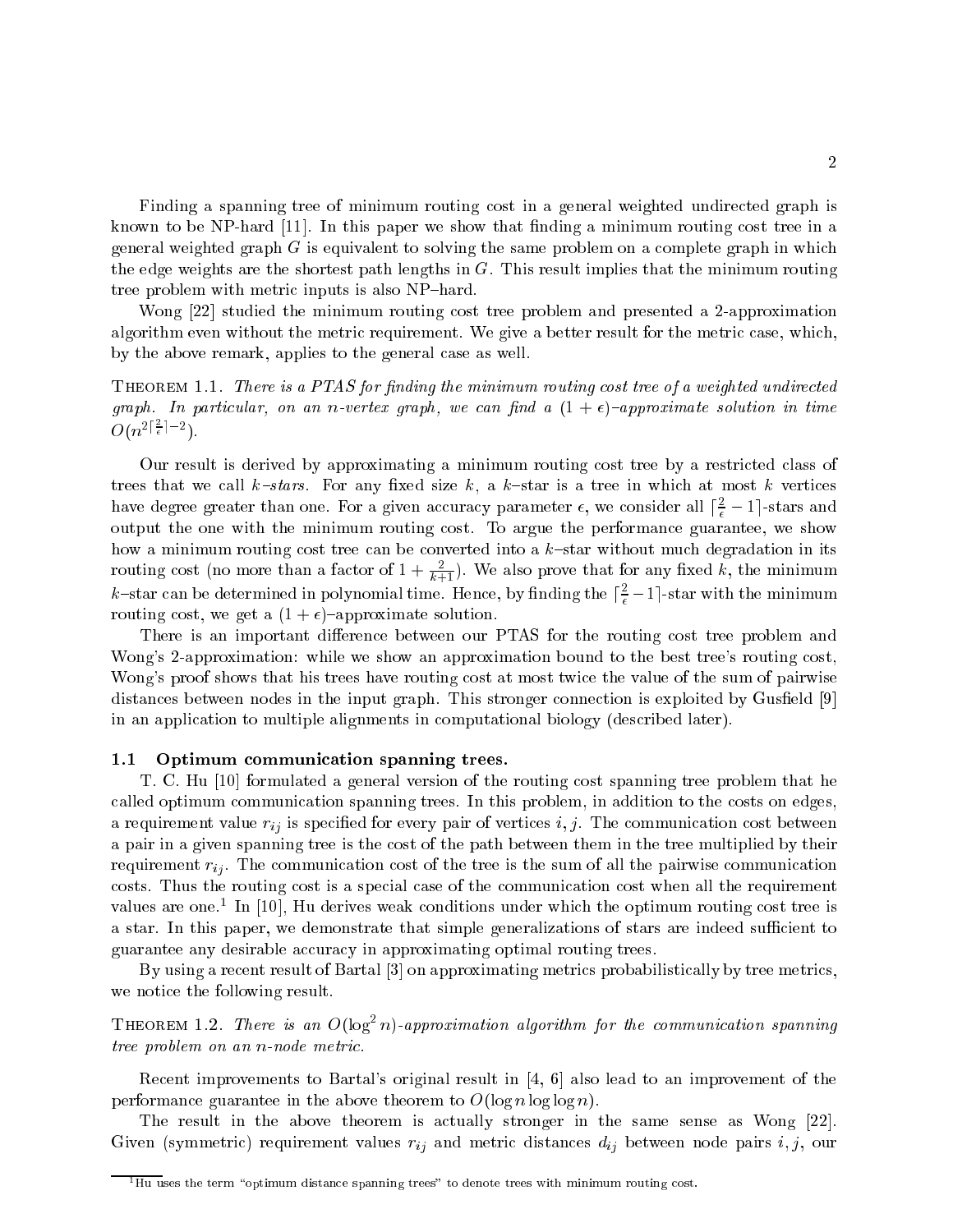Finding a spanning tree of minimum routing cost in a general weighted undirected graph is known to be NP-hard  $[11]$ . In this paper we show that finding a minimum routing cost tree in a general weighted graph  $G$  is equivalent to solving the same problem on a complete graph in which the edge weights are the shortest path lengths in G. This result implies that the minimum routing tree problem with metric inputs is also NP-hard.

Wong [22] studied the minimum routing cost tree problem and presented a 2-approximation algorithm even without the metric requirement. We give a better result for the metric case, which, by the above remark, applies to the general case as well.

THEOREM 1.1. There is a PTAS for finding the minimum routing cost tree of a weighted undirected graph. In particular, on an n-vertex graph, we can find a  $(1+\epsilon)$ -approximate solution in time  $O(n^{2|\frac{2}{\epsilon}|-2})$ .

Our result is derived by approximating a minimum routing cost tree by a restricted class of trees that we call  $k$ -stars. For any fixed size k, a k-star is a tree in which at most k vertices have degree greater than one. For a given accuracy parameter  $\epsilon,$  we consider all  $|\frac{2}{\epsilon}-1|$ -stars and output the one with the minimum routing cost. To argue the performance guarantee, we show how a minimum routing cost tree can be converted into a  $k$ -star without much degradation in its routing cost (no more than a factor of  $1+\frac{2}{k+1}$ ). We also prove that for any fixed k, the minimum k–star can be determined in polynomial time. Hence, by finding the  $\lceil\frac{2}{\epsilon}-1\rceil$ -star with the minimum routing cost, we get a  $(1 + \epsilon)$ -approximate solution.

There is an important difference between our PTAS for the routing cost tree problem and Wong's 2-approximation: while we show an approximation bound to the best tree's routing cost, Wong's proof shows that his trees have routing cost at most twice the value of the sum of pairwise distances between nodes in the input graph. This stronger connection is exploited by Gusfield [9] in an application to multiple alignments in computational biology (described later).

# 1.1 Optimum communication spanning trees.

T. C. Hu [10] formulated a general version of the routing cost spanning tree problem that he called optimum communication spanning trees. In this problem, in addition to the costs on edges, a requirement value  $r_{ij}$  is specified for every pair of vertices i, j. The communication cost between a pair in a given spanning tree is the cost of the path between them in the tree multiplied by their requirement  $r_{ij}$ . The communication cost of the tree is the sum of all the pairwise communication costs. Thus the routing cost is a special case of the communication cost when all the requirement values are one.1 In [10], Hu derives weak conditions under which the optimum routing cost tree is a star. In this paper, we demonstrate that simple generalizations of stars are indeed sufficient to guarantee any desirable accuracy in approximating optimal routing trees.

By using a recent result of Bartal [3] on approximating metrics probabilistically by tree metrics, we notice the following result.

THEOREM 1.2. There is an  $O(\log^2 n)$ -approximation algorithm for the communication spanning tree problem on an n-node metric.

Recent improvements to Bartal's original result in [4, 6] also lead to an improvement of the performance guarantee in the above theorem to  $O(\log n \log \log n)$ .

The result in the above theorem is actually stronger in the same sense as Wong [22]. Given (symmetric) requirement values  $r_{ij}$  and metric distances  $d_{ij}$  between node pairs  $i, j$ , our

 $^{\overline{1}}\overline{\mathrm{H} \mathrm{u}}$  uses the term "optimum distance spanning trees" to denote trees with minimum routing cost.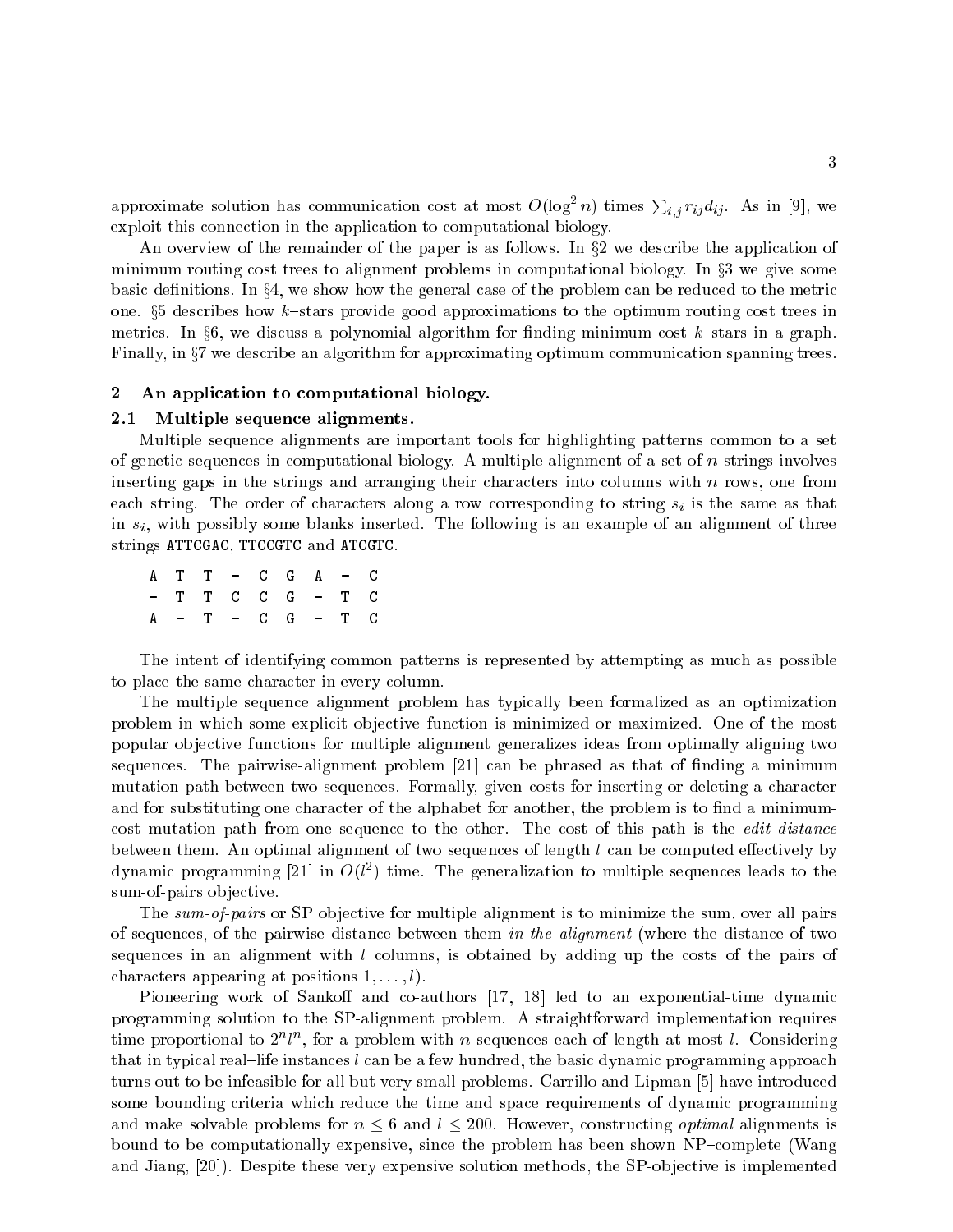approximate solution has communication cost at most  $O(\log^2 n)$  times  $\sum_{i,j} r_{ij} d_{ij}$ . As in [9], we exploit this connection in the application to computational biology.

An overview of the remainder of the paper is as follows. In  $\S2$  we describe the application of minimum routing cost trees to alignment problems in computational biology. In  $\S 3$  we give some basic definitions. In  $\S 4$ , we show how the general case of the problem can be reduced to the metric one.  $\S5$  describes how k-stars provide good approximations to the optimum routing cost trees in metrics. In  $\S6$ , we discuss a polynomial algorithm for finding minimum cost k-stars in a graph. Finally, in  $\S7$  we describe an algorithm for approximating optimum communication spanning trees.

# 2 An application to computational biology.

## 2.1 Multiple sequence alignments.

Multiple sequence alignments are important tools for highlighting patterns common to a set of genetic sequences in computational biology. A multiple alignment of a set of  $n$  strings involves inserting gaps in the strings and arranging their characters into columns with  $n$  rows, one from each string. The order of characters along a row corresponding to string  $s_i$  is the same as that in  $s_i$ , with possibly some blanks inserted. The following is an example of an alignment of three strings ATTCGAC, TTCCGTC and ATCGTC.

A T T - C G A - C - T T C C G - T C A - T - C G - T C

The intent of identifying common patterns is represented by attempting as much as possible to place the same character in every column.

The multiple sequence alignment problem has typically been formalized as an optimization problem in which some explicit objective function is minimized or maximized. One of the most popular ob jective functions for multiple alignment generalizes ideas from optimally aligning two sequences. The pairwise-alignment problem  $[21]$  can be phrased as that of finding a minimum mutation path between two sequences. Formally, given costs for inserting or deleting a character and for substituting one character of the alphabet for another, the problem is to find a minimumcost mutation path from one sequence to the other. The cost of this path is the *edit distance* between them. An optimal alignment of two sequences of length  $l$  can be computed effectively by dynamic programming [21] in  $O(l^2)$  time. The generalization to multiple sequences leads to the sum-of-pairs objective.

The sum-of-pairs or SP objective for multiple alignment is to minimize the sum, over all pairs of sequences, of the pairwise distance between them in the alignment (where the distance of two sequences in an alignment with  $l$  columns, is obtained by adding up the costs of the pairs of characters appearing at positions  $1, \ldots, l$ .

Pioneering work of Sankoff and co-authors [17, 18] led to an exponential-time dynamic programming solution to the SP-alignment problem. A straightforward implementation requires time proportional to  $2^n l^n$ , for a problem with n sequences each of length at most l. Considering that in typical real-life instances  $l$  can be a few hundred, the basic dynamic programming approach turns out to be infeasible for all but very small problems. Carrillo and Lipman [5] have introduced some bounding criteria which reduce the time and space requirements of dynamic programming and make solvable problems for  $n \leq 6$  and  $l \leq 200$ . However, constructing *optimal* alignments is bound to be computationally expensive, since the problem has been shown NP-complete (Wang and Jiang,  $[20]$ . Despite these very expensive solution methods, the SP-objective is implemented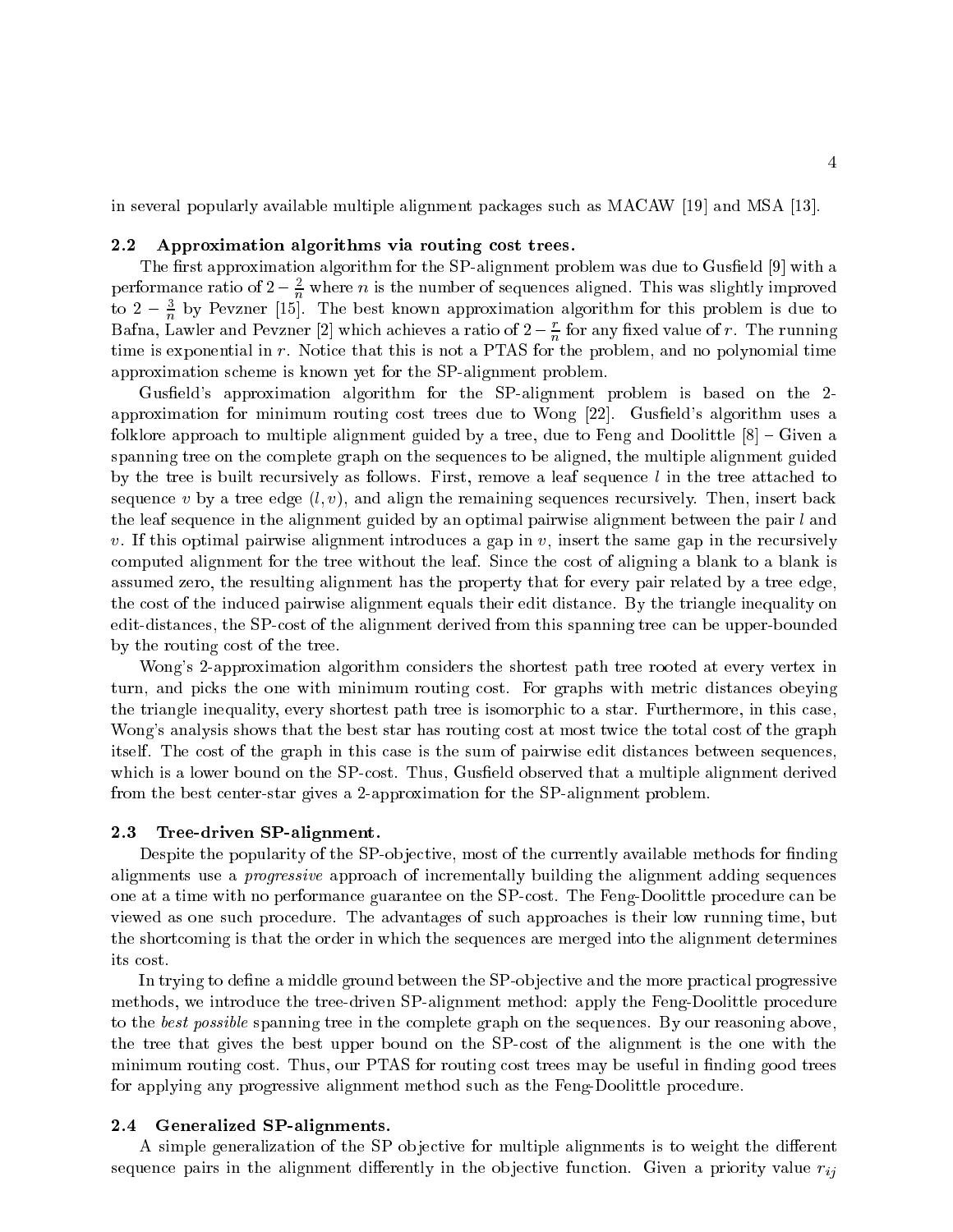in several popularly available multiple alignment packages such as MACAW [19] and MSA [13].

## 2.2 Approximation algorithms via routing cost trees.

The first approximation algorithm for the SP-alignment problem was due to Gusfield [9] with a performance ratio of  $2 - \frac{2}{n}$  where n is the number of sequences aligned. This was slightly improved to  $2 - \frac{1}{n}$  by Pevzner [15]. The best known approximation algorithm for this problem is due to Bafna, Lawler and Pevzner [2] which achieves a ratio of  $2-\frac{1}{n}$  for any fixed value of  $r$  . The running time is exponential in  $r$ . Notice that this is not a PTAS for the problem, and no polynomial time approximation scheme is known yet for the SP-alignment problem.

Gusfield's approximation algorithm for the SP-alignment problem is based on the 2approximation for minimum routing cost trees due to Wong  $[22]$ . Gusfield's algorithm uses a folklore approach to multiple alignment guided by a tree, due to Feng and Doolittle  $[8]$  – Given a spanning tree on the complete graph on the sequences to be aligned, the multiple alignment guided by the tree is built recursively as follows. First, remove a leaf sequence  $l$  in the tree attached to sequence v by a tree edge  $(l, v)$ , and align the remaining sequences recursively. Then, insert back the leaf sequence in the alignment guided by an optimal pairwise alignment between the pair  $l$  and v. If this optimal pairwise alignment introduces a gap in v, insert the same gap in the recursively computed alignment for the tree without the leaf. Since the cost of aligning a blank to a blank is assumed zero, the resulting alignment has the property that for every pair related by a tree edge, the cost of the induced pairwise alignment equals their edit distance. By the triangle inequality on edit-distances, the SP-cost of the alignment derived from this spanning tree can be upper-bounded by the routing cost of the tree.

Wong's 2-approximation algorithm considers the shortest path tree rooted at every vertex in turn, and picks the one with minimum routing cost. For graphs with metric distances obeying the triangle inequality, every shortest path tree is isomorphic to a star. Furthermore, in this case, Wong's analysis shows that the best star has routing cost at most twice the total cost of the graph itself. The cost of the graph in this case is the sum of pairwise edit distances between sequences, which is a lower bound on the SP-cost. Thus, Gusfield observed that a multiple alignment derived from the best center-star gives a 2-approximation for the SP-alignment problem.

#### 2.3 Tree-driven SP-alignment.

Despite the popularity of the SP-objective, most of the currently available methods for finding alignments use a progressive approach of incrementally building the alignment adding sequences one at a time with no performance guarantee on the SP-cost. The Feng-Doolittle procedure can be viewed as one such procedure. The advantages of such approaches is their low running time, but the shortcoming is that the order in which the sequences are merged into the alignment determines its cost.

In trying to define a middle ground between the SP-objective and the more practical progressive methods, we introduce the tree-driven SP-alignment method: apply the Feng-Doolittle procedure to the best possible spanning tree in the complete graph on the sequences. By our reasoning above, the tree that gives the best upper bound on the SP-cost of the alignment is the one with the minimum routing cost. Thus, our PTAS for routing cost trees may be useful in finding good trees for applying any progressive alignment method such as the Feng-Doolittle procedure.

## 2.4 Generalized SP-alignments.

A simple generalization of the SP objective for multiple alignments is to weight the different sequence pairs in the alignment differently in the objective function. Given a priority value  $r_{ij}$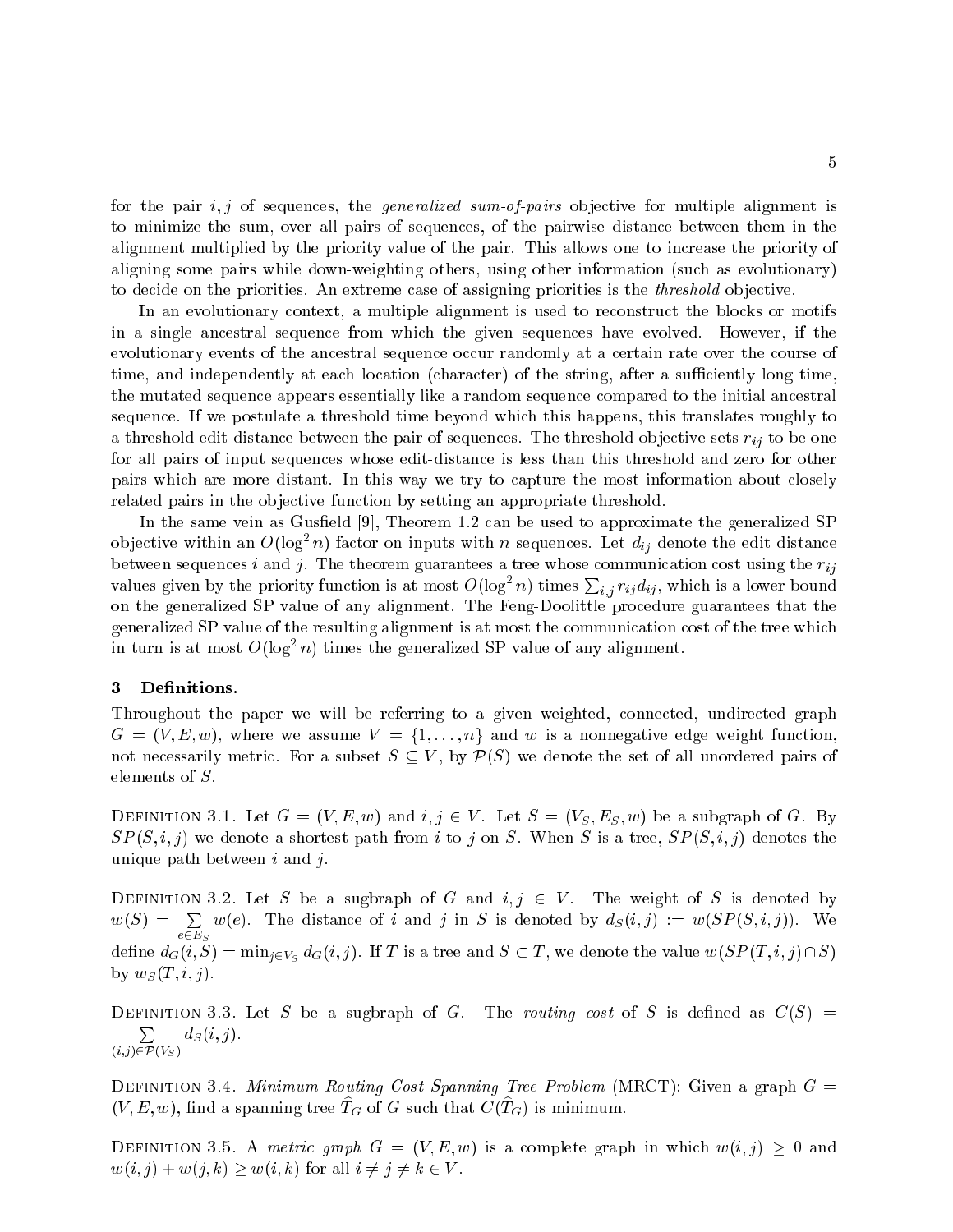for the pair  $i, j$  of sequences, the *generalized sum-of-pairs* objective for multiple alignment is to minimize the sum, over all pairs of sequences, of the pairwise distance between them in the alignment multiplied by the priority value of the pair. This allows one to increase the priority of aligning some pairs while down-weighting others, using other information (such as evolutionary) to decide on the priorities. An extreme case of assigning priorities is the *threshold* objective.

In an evolutionary context, a multiple alignment is used to reconstruct the blocks or motifs in a single ancestral sequence from which the given sequences have evolved. However, if the evolutionary events of the ancestral sequence occur randomly at a certain rate over the course of time, and independently at each location (character) of the string, after a sufficiently long time, the mutated sequence appears essentially like a random sequence compared to the initial ancestral sequence. If we postulate a threshold time beyond which this happens, this translates roughly to a threshold edit distance between the pair of sequences. The threshold objective sets  $r_{ij}$  to be one for all pairs of input sequences whose edit-distance is less than this threshold and zero for other pairs which are more distant. In this way we try to capture the most information about closely related pairs in the objective function by setting an appropriate threshold.

In the same vein as Gusfield [9], Theorem 1.2 can be used to approximate the generalized SP objective within an  $O(\log^2 n)$  factor on inputs with n sequences. Let  $d_{ij}$  denote the edit distance between sequences i and j. The theorem guarantees a tree whose communication cost using the  $r_{ij}$ values given by the priority function is at most  $O(\log^2 n)$  times  $\sum_{i,j} r_{ij} d_{ij}$ , which is a lower bound on the generalized SP value of any alignment. The Feng-Doolittle procedure guarantees that the generalized SP value of the resulting alignment is at most the communication cost of the tree which in turn is at most  $O(\log^2 n)$  times the generalized SP value of any alignment.

# 3 Definitions.

 $\sum_{i=1}^{n}$ 

Throughout the paper we will be referring to a given weighted, connected, undirected graph  $G = (V, E, w)$ , where we assume  $V = \{1, \ldots, n\}$  and w is a nonnegative edge weight function, not necessarily metric. For a subset  $S \subseteq V$ , by  $\mathcal{P}(S)$  we denote the set of all unordered pairs of elements of S.

DEFINITION 3.1. Let  $G = (V, E, w)$  and  $i, j \in V$ . Let  $S = (V_S, E_S, w)$  be a subgraph of G. By  $SP(S, i, j)$  we denote a shortest path from i to j on S. When S is a tree,  $SP(S, i, j)$  denotes the unique path between  $i$  and  $j$ .

DEFINITION 3.2. Let S be a sugbraph of G and  $i, j \in V$ . The weight of S is denoted by  $w(S) = \sum$  $-2$  $w(e)$ . The distance of i and j in S is denoted by  $d_S(i, j) := w(SP(S, i, j))$ . We define  $d_G(i, S) = \min_{j \in V_S} d_G(i, j)$ . If T is a tree and  $S \subset T$ , we denote the value  $w(SP(T, i, j) \cap S)$ by  $w_S(T, i, j)$ .

DEFINITION 3.3. Let S be a sugbraph of G. The routing cost of S is defined as  $C(S)$  = <sup>P</sup>  $d_S(i,j)$ .

DEFINITION 3.4. Minimum Routing Cost Spanning Tree Problem (MRCT): Given a graph  $G =$  $(V, E, w)$ , find a spanning tree  $T_G$  of G such that  $C(T_G)$  is minimum.

DEFINITION 3.5. A metric graph  $G = (V, E, w)$  is a complete graph in which  $w(i, j) \geq 0$  and  $w(i, j) + w(j, k) \geq w(i, k)$  for all  $i \neq j \neq k \in V$ .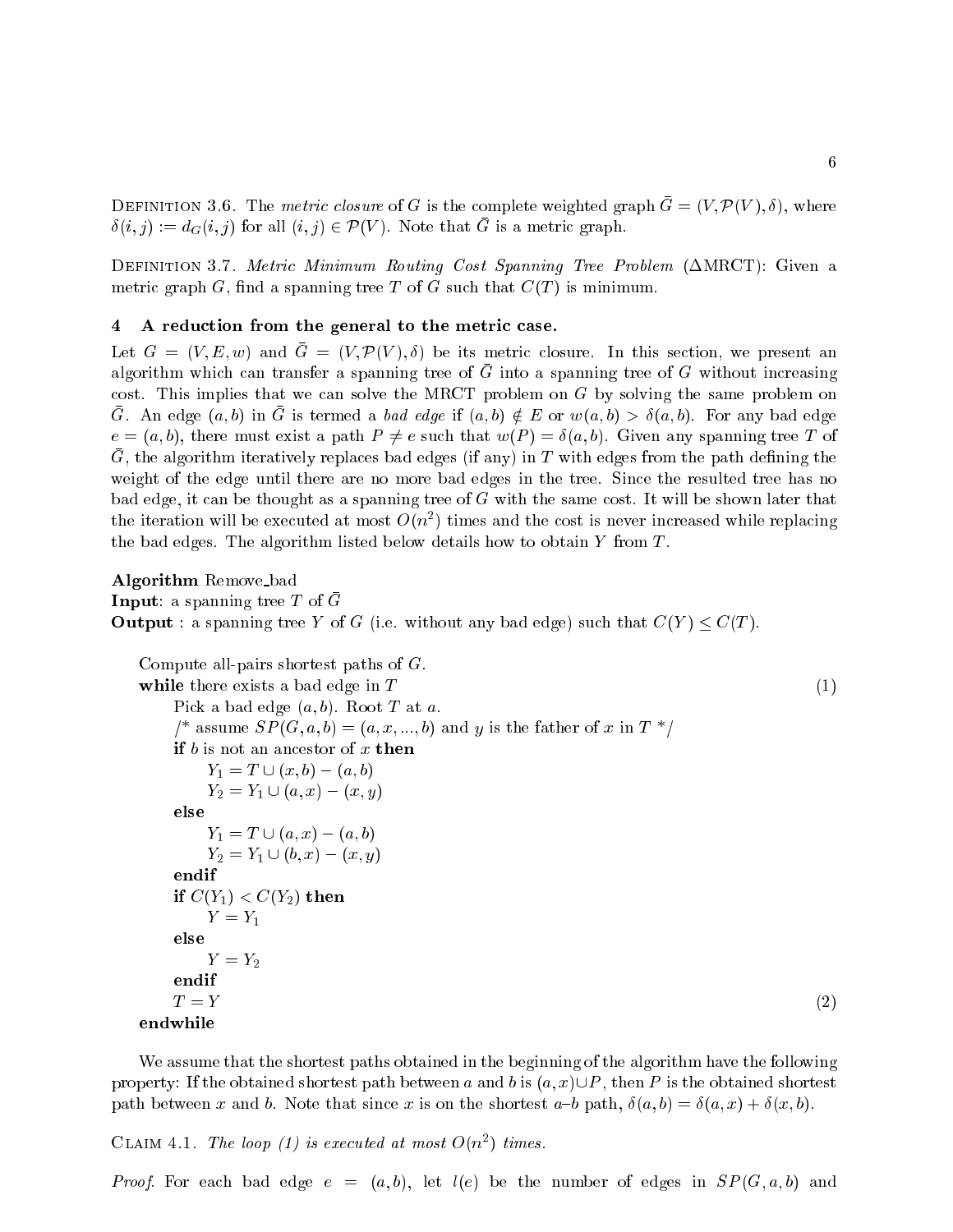DEFINITION 3.6. The metric closure of G is the complete weighted graph  $\bar{G} = (V, \mathcal{P}(V), \delta)$ , where  $\delta(i, j) := d_G(i, j)$  for all  $(i, j) \in \mathcal{P}(V)$ . Note that G is a metric graph.

DEFINITION 3.7. Metric Minimum Routing Cost Spanning Tree Problem  $(\triangle MRCT)$ : Given a metric graph G, find a spanning tree T of G such that  $C(T)$  is minimum.

# 4 A reduction from the general to the metric case.

Let  $G = (V, E, w)$  and  $\overline{G} = (V, \mathcal{P}(V), \delta)$  be its metric closure. In this section, we present an algorithm which can transfer a spanning tree of G into a spanning tree of G without increasing cost. This implies that we can solve the MRCT problem on G by solving the same problem on G. An edge  $(a, b)$  in G is termed a bad edge if  $(a, b) \notin E$  or  $w(a, b) > \delta(a, b)$ . For any bad edge  $e = (a, b)$ , there must exist a path  $P \neq e$  such that  $w(P) = \delta(a, b)$ . Given any spanning tree T of G, the algorithm iteratively replaces bad edges (if any) in T with edges from the path defining the weight of the edge until there are no more bad edges in the tree. Since the resulted tree has no bad edge, it can be thought as a spanning tree of  $G$  with the same cost. It will be shown later that the iteration will be executed at most  $O(n^2)$  times and the cost is never increased while replacing the bad edges. The algorithm listed below details how to obtain  $Y$  from  $T$ .

Algorithm Remove bad **Input:** a spanning tree T of  $\bar{G}$ **Output**: a spanning tree Y of G (i.e. without any bad edge) such that  $C(Y) \leq C(T)$ .

```
Compute all-pairs shortest paths of G.
while there exists a bad edge in T (1)
   Pick a bad edge (a, b). Root T at a.
   <sup>*</sup> assume SP(G, a, b) = (a, x, ..., b) and y is the father of x in T^*if b is not an ancestor of x then
       Y_1 = T \cup (x, b) - (a, b)Y_2 = Y_1 \cup (a, x) - (x, y)else
       Y_1 = T \cup (a, x) - (a, b)Y_2 = Y_1 \cup (b, x) - (x, y)endif
   if C(Y_1) < C(Y_2) then
       Y = Y_1else
       Y = Y_2endif
   T = Y (2)
endwhile
```
We assume that the shortest paths obtained in the beginning of the algorithm have the following property: If the obtained shortest path between a and b is  $(a, x) \cup P$ , then P is the obtained shortest path between x and b. Note that since x is on the shortest  $a-b$  path,  $\delta(a, b) = \delta(a, x) + \delta(x, b)$ .

CLAIM 4.1. The loop (1) is executed at most  $O(n^2)$  times.

*Proof.* For each bad edge  $e = (a, b)$ , let  $l(e)$  be the number of edges in  $SP(G, a, b)$  and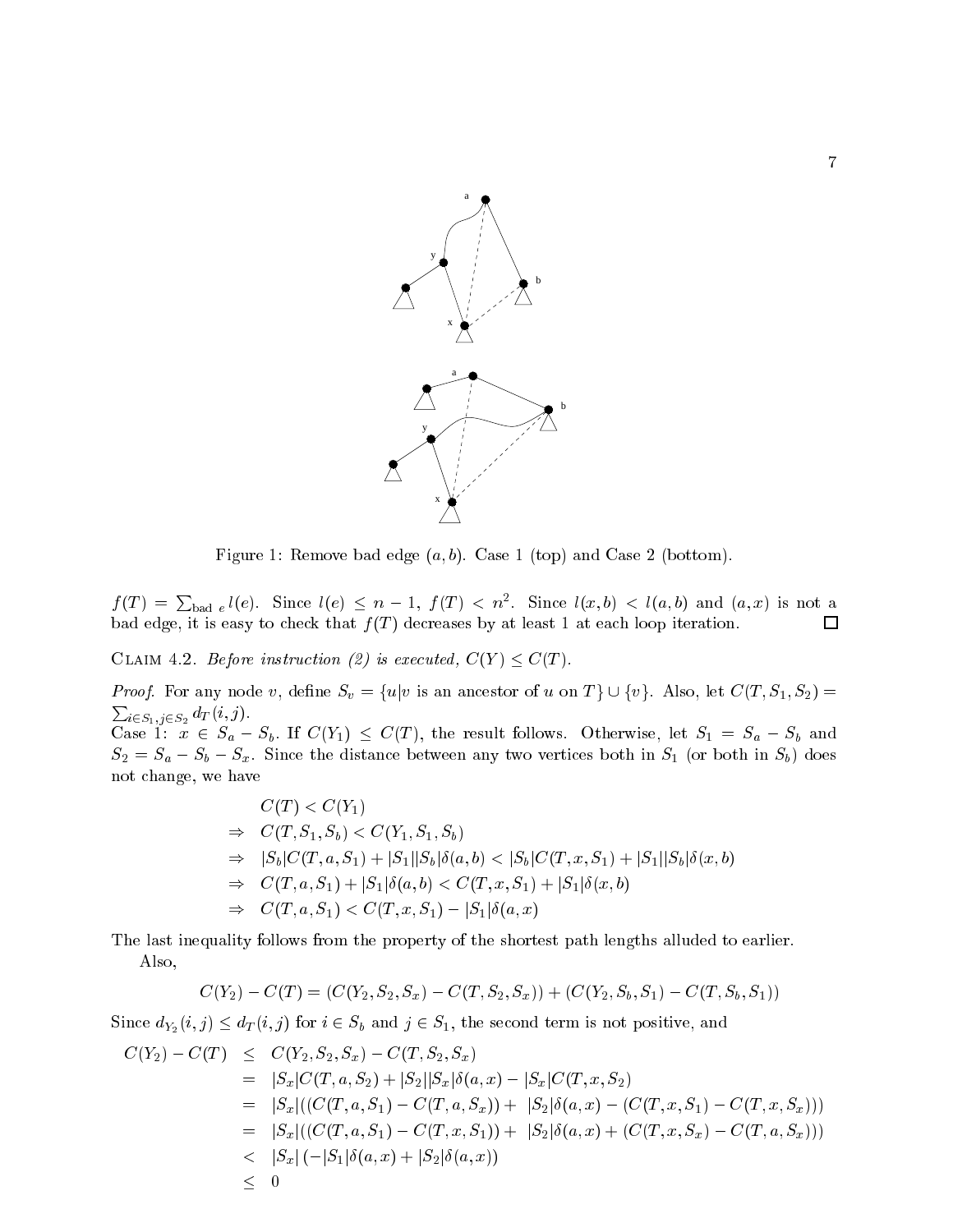

Figure 1: Remove bad edge  $(a, b)$ . Case 1 (top) and Case 2 (bottom).

 $f(T) = \sum_{\text{bad }e} l(e)$ . Since  $l(e) \leq n-1$ ,  $f(T) < n^2$ . Since  $l(x, b) < l(a, b)$  and  $(a, x)$  is not a bad edge, it is easy to check that  $f(T)$  decreases by at least 1 at each loop iteration.

CLAIM 4.2. Before instruction (2) is executed,  $C(Y) \leq C(T)$ .

*Proof.* For any node v, define  $S_v = \{u|v \text{ is an ancestor of } u \text{ on } T\} \cup \{v\}$ . Also, let  $C(T, S_1, S_2)$  $\sum_{i \in S_1, j \in S_2} d_T(i, j).$ 

Case 1:  $x \in S_a - S_b$ . If  $C(Y_1) \leq C(T)$ , the result follows. Otherwise, let  $S_1 = S_a - S_b$  and  $S_2 = S_a - S_b - S_x$ . Since the distance between any two vertices both in  $S_1$  (or both in  $S_b$ ) does not change, we have

$$
C(T) < C(Y_1)
$$
\n
$$
\Rightarrow C(T, S_1, S_b) < C(Y_1, S_1, S_b)
$$
\n
$$
\Rightarrow |S_b|C(T, a, S_1) + |S_1||S_b|\delta(a, b) < |S_b|C(T, x, S_1) + |S_1||S_b|\delta(x, b)
$$
\n
$$
\Rightarrow C(T, a, S_1) + |S_1|\delta(a, b) < C(T, x, S_1) + |S_1|\delta(x, b)
$$
\n
$$
\Rightarrow C(T, a, S_1) < C(T, x, S_1) - |S_1|\delta(a, x)
$$

The last inequality follows from the property of the shortest path lengths alluded to earlier. Also,

$$
C(Y_2) - C(T) = (C(Y_2, S_2, S_x) - C(T, S_2, S_x)) + (C(Y_2, S_b, S_1) - C(T, S_b, S_1))
$$

Since  $d_{Y_2}(i, j) \leq d_T(i, j)$  for  $i \in S_b$  and  $j \in S_1$ , the second term is not positive, and

$$
C(Y_2) - C(T) \leq C(Y_2, S_2, S_x) - C(T, S_2, S_x)
$$
  
\n
$$
= |S_x|C(T, a, S_2) + |S_2||S_x|\delta(a, x) - |S_x|C(T, x, S_2)
$$
  
\n
$$
= |S_x|((C(T, a, S_1) - C(T, a, S_x)) + |S_2|\delta(a, x) - (C(T, x, S_1) - C(T, x, S_x)))
$$
  
\n
$$
= |S_x|((C(T, a, S_1) - C(T, x, S_1)) + |S_2|\delta(a, x) + (C(T, x, S_x) - C(T, a, S_x)))
$$
  
\n
$$
< |S_x|(-|S_1|\delta(a, x) + |S_2|\delta(a, x))
$$
  
\n
$$
\leq 0
$$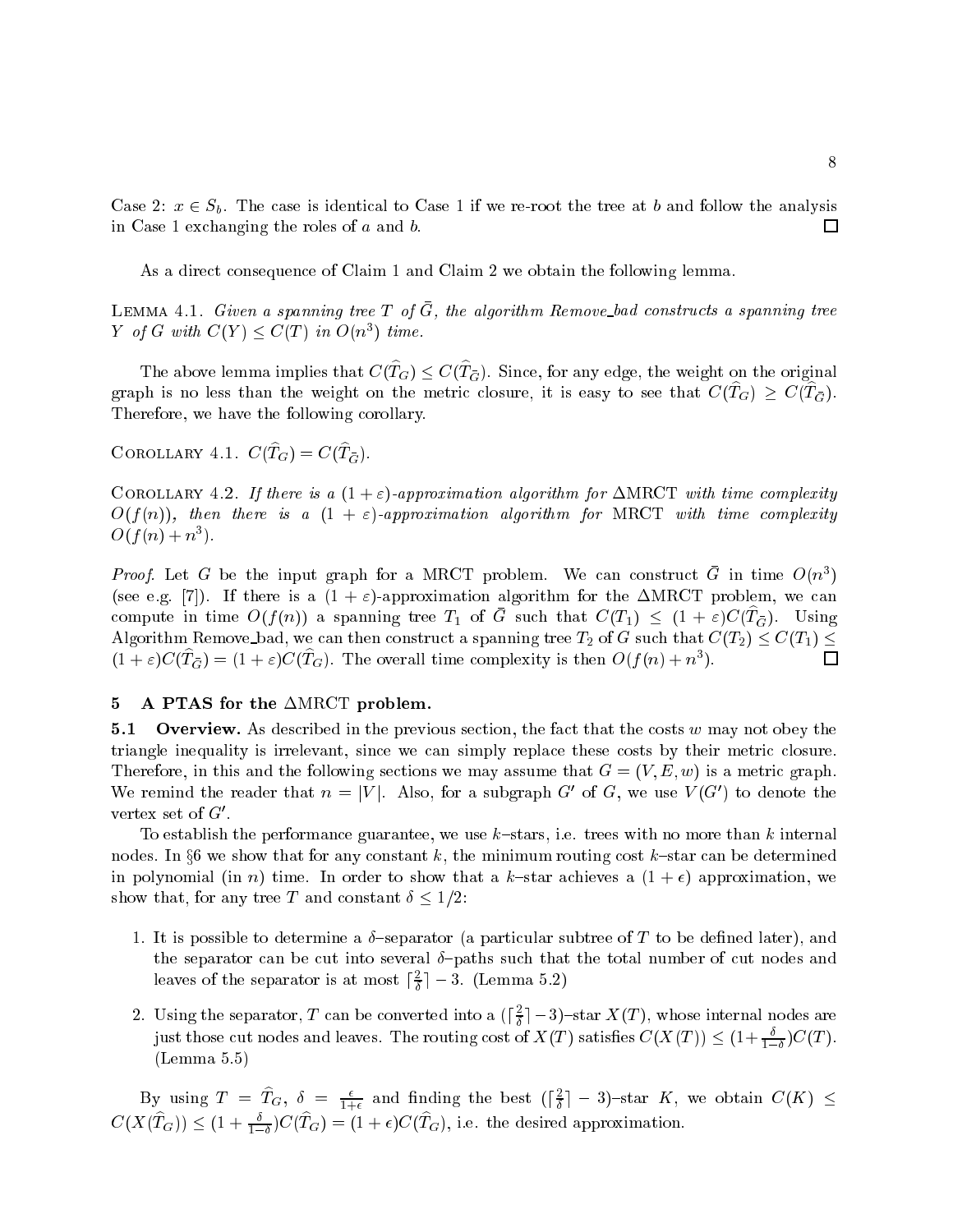Case 2:  $x \in S_b$ . The case is identical to Case 1 if we re-root the tree at b and follow the analysis in Case 1 exchanging the roles of <sup>a</sup> and b.  $\Box$ 

As a direct consequence of Claim 1 and Claim 2 we obtain the following lemma.

LEMMA 4.1. Given a spanning tree T of G, the algorithm Remove\_bad constructs a spanning tree Y of G with  $C(Y) \leq C(T)$  in  $O(n^3)$  time.

The above lemma implies that  $C(T_G) \leq C(T_{\overline{G}})$ . Since, for any edge, the weight on the original graph is no less than the weight on the metric closure, it is easy to see that  $C(T_G) \geq C(T_G)$ . Therefore, we have the following corollary.

COROLLARY 4.1.  $C(T_G) = C(T_{\bar{G}})$ .

COROLLARY 4.2. If there is a  $(1+\varepsilon)$ -approximation algorithm for  $\Delta \text{MRCT}$  with time complexity  $O(f(n))$ , then there is a  $(1 + \varepsilon)$ -approximation algorithm for MRCT with time complexity  $O(f(n) + n^3)$ .

*Proof.* Let G be the input graph for a MRCT problem. We can construct G in time  $O(n^3)$ (see e.g. [7]). If there is a  $(1 + \varepsilon)$ -approximation algorithm for the  $\triangle MRCT$  problem, we can compute in time  $O(f(n))$  a spanning tree  $T_1$  of G such that  $C(T_1) \leq (1 + \varepsilon)C(T_{\tilde{G}})$ . Using Algorithm Remove bad, we can then construct a spanning tree  $T_2$  of G such that  $C(T_2) \leq C(T_1) \leq$  $\Box$  $(1+\varepsilon)C(T_G) = (1+\varepsilon)C(T_G)$ . The overall time complexity is then  $O(f(n) + n^3)$ .

# 5 A PTAS for the  $\triangle$ MRCT problem.

**5.1 Overview.** As described in the previous section, the fact that the costs w may not obey the triangle inequality is irrelevant, since we can simply replace these costs by their metric closure. Therefore, in this and the following sections we may assume that  $G = (V, E, w)$  is a metric graph. We remind the reader that  $n = |V|$ . Also, for a subgraph G' of G, we use  $V(G')$  to denote the vertex set of  $G'$ .

To establish the performance guarantee, we use  $k$ -stars, i.e. trees with no more than k internal nodes. In  $\S6$  we show that for any constant k, the minimum routing cost k-star can be determined in polynomial (in n) time. In order to show that a k-star achieves a  $(1 + \epsilon)$  approximation, we show that, for any tree T and constant  $\delta \leq 1/2$ :

- 1. It is possible to determine a  $\delta$ -separator (a particular subtree of T to be defined later), and the separator can be cut into several  $\delta$ -paths such that the total number of cut nodes and leaves of the separator is at most  $|\tau| = 3$ . (Lemma 5.2)
- 2. Using the separator, T can be converted into a  $(\lceil \frac{2}{5} \rceil 3)$ -star  $X(T)$ , whose internal nodes are just those cut nodes and leaves. The routing cost of  $X(T)$  satisfies  $C(X(T)) \leq (1 + \frac{\delta}{1-\delta})C(T)$ . (Lemma 5.5)

By using  $T = T_G$ ,  $\delta = \frac{\epsilon}{1+\epsilon}$  and finding the best  $(\lceil \frac{2}{\delta} \rceil - 3)$ -star K, we obtain  $C(K) \leq$  $C(X(T_G)) \leq (1 + \frac{\sigma}{\sigma})C(T_G) = (1 + \epsilon)C(T_G)$ , i.e. the desired approximation.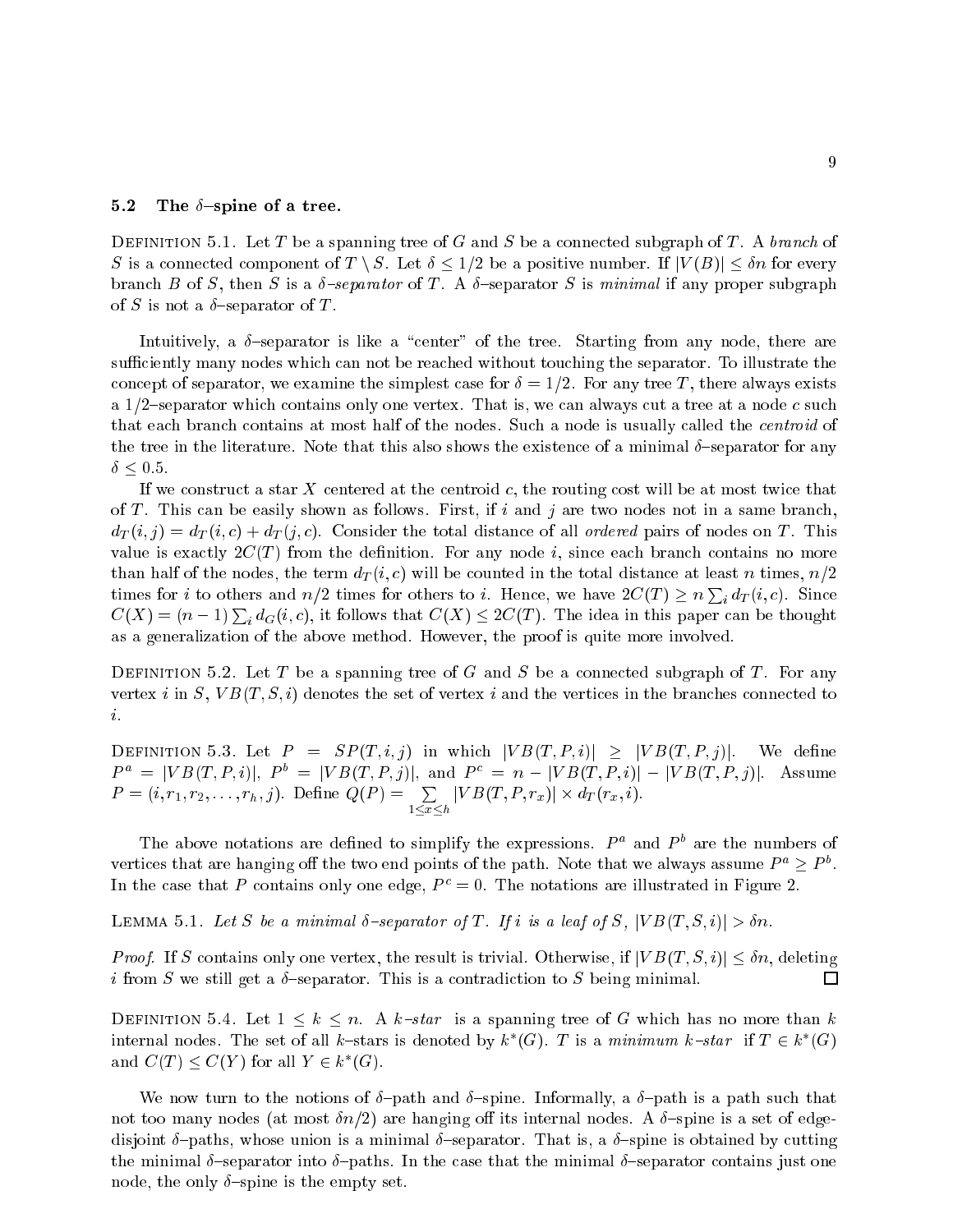#### 5.2 The  $\delta$ -spine of a tree.

DEFINITION 5.1. Let T be a spanning tree of G and S be a connected subgraph of T. A branch of S is a connected component of T \ S. Let  $\delta \leq 1/2$  be a positive number. If  $|V(B)| \leq \delta n$  for every branch B of S, then S is a  $\delta$ -separator of T. A  $\delta$ -separator S is minimal if any proper subgraph of S is not a  $\delta$ -separator of T.

Intuitively, a  $\delta$ -separator is like a "center" of the tree. Starting from any node, there are sufficiently many nodes which can not be reached without touching the separator. To illustrate the concept of separator, we examine the simplest case for  $\delta = 1/2$ . For any tree T, there always exists a 1/2-separator which contains only one vertex. That is, we can always cut a tree at a node c such that each branch contains at most half of the nodes. Such a node is usually called the *centroid* of the tree in the literature. Note that this also shows the existence of a minimal  $\delta$ -separator for any  $\delta \leq 0.5$ .

If we construct a star  $X$  centered at the centroid  $c$ , the routing cost will be at most twice that of T. This can be easily shown as follows. First, if  $i$  and  $j$  are two nodes not in a same branch,  $d_T(i, j) = d_T(i, c) + d_T(j, c)$ . Consider the total distance of all ordered pairs of nodes on T. This value is exactly  $2C(T)$  from the definition. For any node i, since each branch contains no more than half of the nodes, the term  $d_T(i, c)$  will be counted in the total distance at least n times,  $n/2$ times for *i* to others and  $n/2$  times for others to *i*. Hence, we have  $2C(T) \ge n \sum_i d_T(i, c)$ . Since  $C(X) = (n-1) \sum_i d_G(i, c)$ , it follows that  $C(X) \leq 2C(T)$ . The idea in this paper can be thought as a generalization of the above method. However, the proof is quite more involved.

DEFINITION 5.2. Let T be a spanning tree of G and S be a connected subgraph of T. For any vertex i in S,  $VB(T, S, i)$  denotes the set of vertex i and the vertices in the branches connected to i.

DEFINITION 5.3. Let  $P = SP(T, i, j)$  in which  $|VB(T, P, i)| \geq |VB(T, P, j)|$ . We define  $P^a = |VB(T, P, i)|, P^o = |VB(T, P, j)|, \text{ and } P^c = n - |VB(T, P, i)| - |VB(T, P, j)|.$  Assume  $P=(i, r_1, r_2, \ldots, r_h, j)$ . Define  $Q(P) = \sum\limits_{1 \leq x \leq h}$  $|VB(T, P, r_x)| \times d_T(r_x, i).$ 

The above notations are defined to simplify the expressions.  $P^a$  and  $P^b$  are the numbers of vertices that are hanging off the two end points of the path. Note that we always assume  $P^a > P^o$ . In the case that P contains only one edge,  $P^c = 0$ . The notations are illustrated in Figure 2.

LEMMA 5.1. Let S be a minimal  $\delta$ -separator of T. If i is a leaf of S,  $|VB(T, S, i)| > \delta n$ .

*Proof.* If S contains only one vertex, the result is trivial. Otherwise, if  $|VB(T, S, i)| \leq \delta n$ , deleting i from S we still get a  $\delta$ -separator. This is a contradiction to S being minimal.  $\Box$ 

DEFINITION 5.4. Let  $1 \leq k \leq n$ . A k-star is a spanning tree of G which has no more than k internal nodes. The set of all k-stars is denoted by  $k^*(G)$ . T is a minimum k-star if  $T \in k^*(G)$ and  $C(T) \leq C(Y)$  for all  $Y \in k^*(G)$ .

We now turn to the notions of  $\delta$ -path and  $\delta$ -spine. Informally, a  $\delta$ -path is a path such that not too many nodes (at most  $\delta n/2$ ) are hanging off its internal nodes. A  $\delta$ -spine is a set of edgedisjoint  $\delta$ -paths, whose union is a minimal  $\delta$ -separator. That is, a  $\delta$ -spine is obtained by cutting the minimal  $\delta$ -separator into  $\delta$ -paths. In the case that the minimal  $\delta$ -separator contains just one node, the only  $\delta$ -spine is the empty set.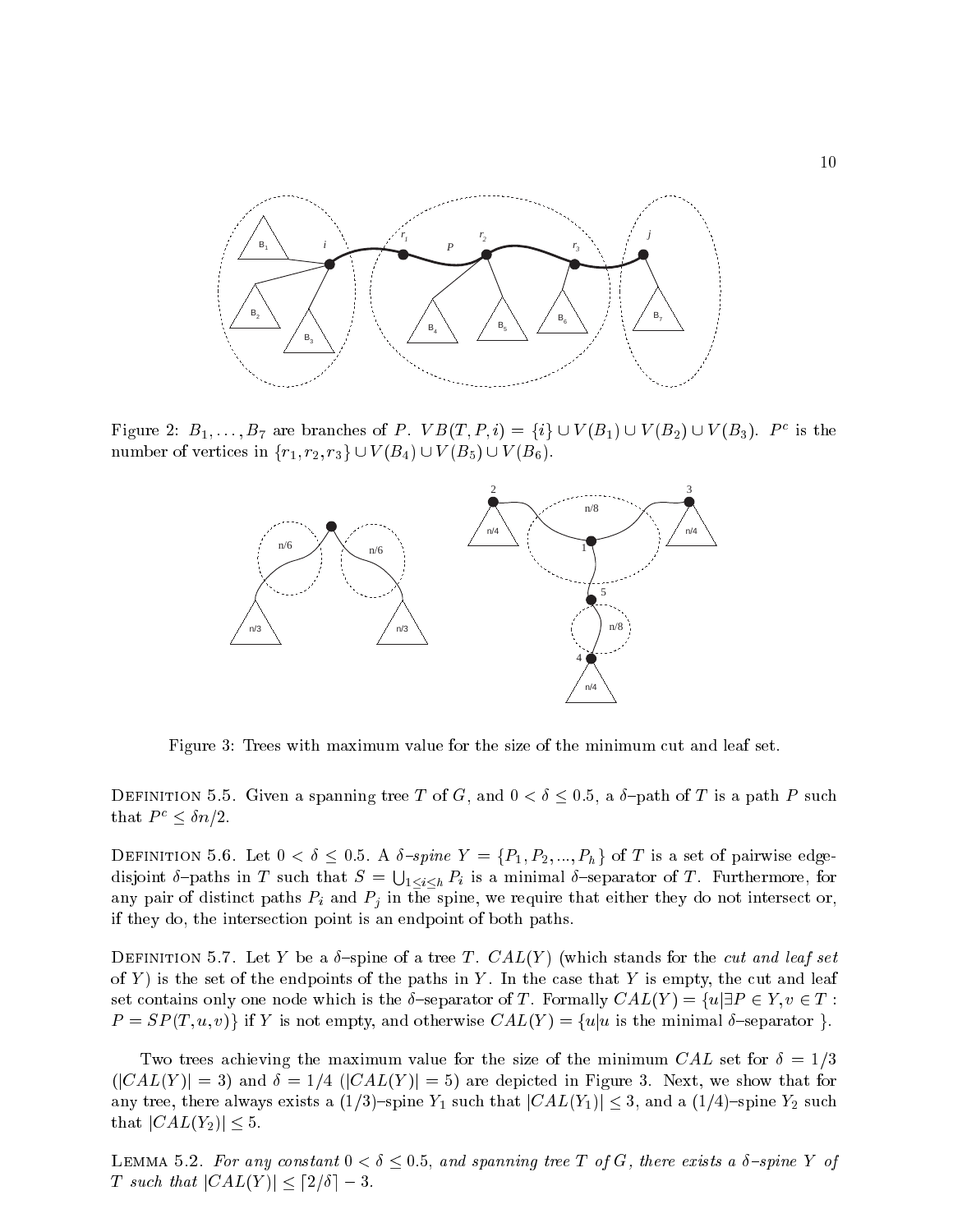

Figure 2:  $B_1, \ldots, B_7$  are branches of P.  $VB(T, P, i) = \{i\} \cup V(B_1) \cup V(B_2) \cup V(B_3)$ .  $P^c$  is the number of vertices in  $\{r_1, r_2, r_3\} \cup V(B_4) \cup V(B_5) \cup V(B_6).$ 



Figure 3: Trees with maximum value for the size of the minimum cut and leaf set.

DEFINITION 5.5. Given a spanning tree T of G, and  $0 < \delta \leq 0.5$ , a  $\delta$ -path of T is a path P such that  $P^c \leq \delta n/2$ .

DEFINITION 5.6. Let  $0 < \delta \leq 0.5$ . A  $\delta$ -spine  $Y = \{P_1, P_2, ..., P_h\}$  of T is a set of pairwise edgedisjoint  $\delta$ -paths in T such that  $S = \bigcup_{1 \leq i \leq h} P_i$  is a minimal  $\delta$ -separator of T. Furthermore, for any pair of distinct paths  $P_i$  and  $P_j$  in the spine, we require that either they do not intersect or, if they do, the intersection point is an endpoint of both paths.

DEFINITION 5.7. Let Y be a  $\delta$ -spine of a tree T. CAL(Y) (which stands for the cut and leaf set of Y) is the set of the endpoints of the paths in Y. In the case that Y is empty, the cut and leaf set contains only one node which is the  $\delta$ -separator of T. Formally  $CAL(Y) = \{u | \exists P \in Y, v \in T :$  $P = SP(T, u, v)$  if Y is not empty, and otherwise  $CAL(Y) = \{u | u$  is the minimal  $\delta$ -separator  $\}$ .

Two trees achieving the maximum value for the size of the minimum CAL set for  $\delta = 1/3$  $(|CAL(Y) | = 3)$  and  $\delta = 1/4$   $(|CAL(Y) | = 5)$  are depicted in Figure 3. Next, we show that for any tree, there always exists a  $(1/3)$ -spine Y<sub>1</sub> such that  $|CAL(Y_1)| \leq 3$ , and a  $(1/4)$ -spine Y<sub>2</sub> such that  $|CAL(Y_2)| \leq 5$ .

LEMMA 5.2. For any constant  $0 < \delta \leq 0.5$ , and spanning tree T of G, there exists a  $\delta$ -spine Y of T such that  $|CAL(Y)| \leq \lceil 2/\delta \rceil - 3$ .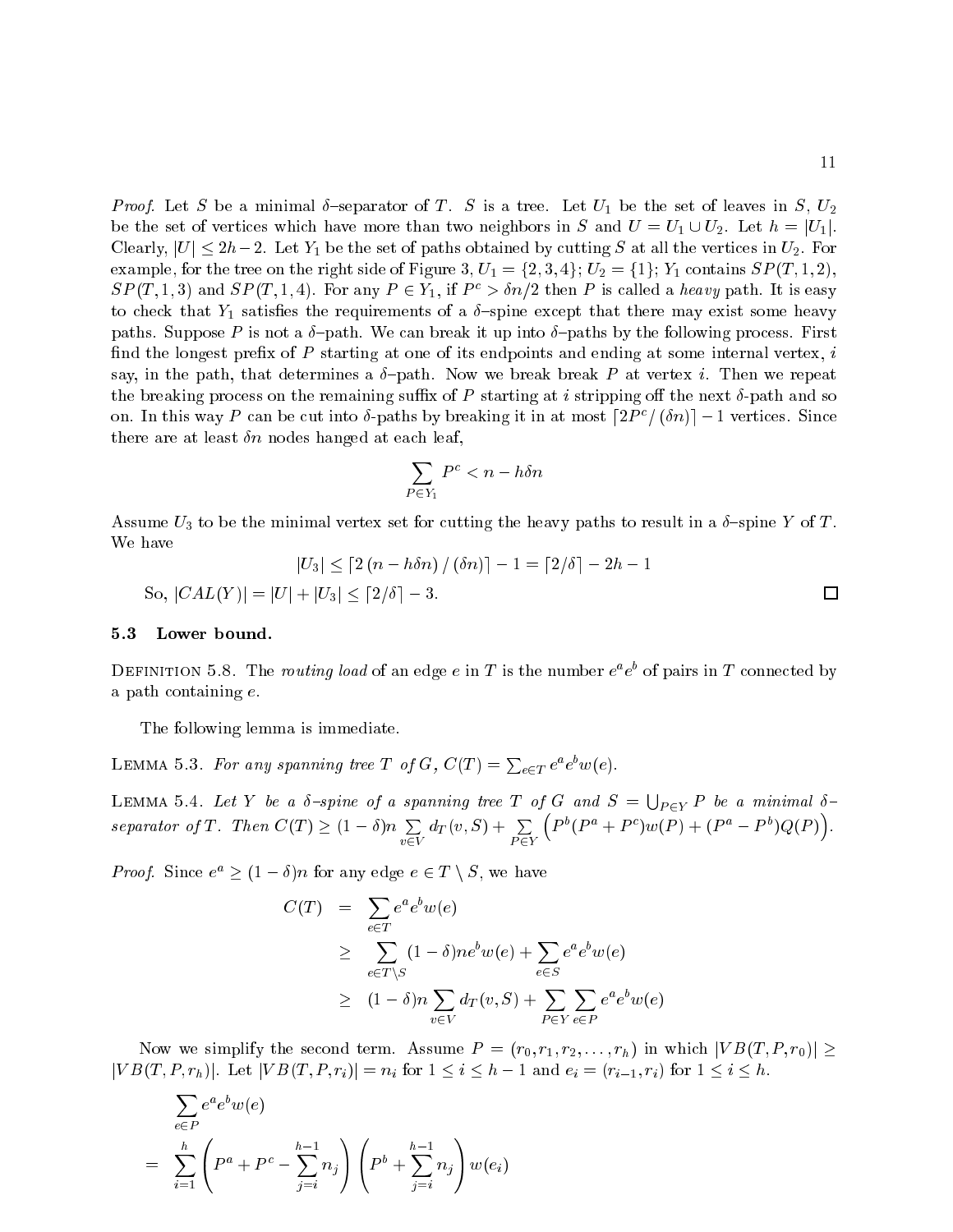*Proof.* Let S be a minimal  $\delta$ -separator of T. S is a tree. Let  $U_1$  be the set of leaves in S,  $U_2$ be the set of vertices which have more than two neighbors in S and  $U = U_1 \cup U_2$ . Let  $h = |U_1|$ . Clearly,  $|U| \leq 2h-2$ . Let Y<sub>1</sub> be the set of paths obtained by cutting S at all the vertices in  $U_2$ . For example, for the tree on the right side of Figure 3,  $U_1 = \{2, 3, 4\}$ ;  $U_2 = \{1\}$ ;  $Y_1$  contains  $SP(T, 1, 2)$ ,  $SP(T, 1, 3)$  and  $SP(T, 1, 4)$ . For any  $P \in Y_1$ , if  $P^c > \delta n/2$  then P is called a heavy path. It is easy to check that  $Y_1$  satisfies the requirements of a  $\delta$ -spine except that there may exist some heavy paths. Suppose P is not a  $\delta$ -path. We can break it up into  $\delta$ -paths by the following process. First find the longest prefix of  $P$  starting at one of its endpoints and ending at some internal vertex, i say, in the path, that determines a  $\delta$ -path. Now we break break P at vertex i. Then we repeat the breaking process on the remaining suffix of P starting at i stripping off the next  $\delta$ -path and so on. In this way P can be cut into  $\delta$ -paths by breaking it in at most  $\lceil 2P^c/(\delta n)\rceil - 1$  vertices. Since there are at least  $\delta n$  nodes hanged at each leaf,

$$
\sum_{P \in Y_1} P^c < n - h \delta n
$$

Assume  $U_3$  to be the minimal vertex set for cutting the heavy paths to result in a  $\delta$ -spine Y of T. We have

$$
|U_3| \le \left[2\left(n - h\delta n\right)/\left(\delta n\right)\right] - 1 = \left\lceil2/\delta\right\rceil - 2h - 1
$$
  
So,  $|CAL(Y)| = |U| + |U_3| \le \left\lceil2/\delta\right\rceil - 3$ .

# 5.3 Lower bound.

DEFINITION 5.8. The routing load of an edge e in T is the number  $e^a e^b$  of pairs in T connected by a path containing e.

The following lemma is immediate.

LEMMA 5.3. For any spanning tree T of G,  $C(T) = \sum_{e \in T} e^a e^b w(e)$ .

LEMMA 5.4. Let Y be a  $\delta$ -spine of a spanning tree T of G and  $S=\bigcup_{P\in Y}P$  be a minimal  $\delta$ separator of T. Then  $C(T) \geq (1 - \delta)n$  $\sim$   $\sim$  $d_T(v,S) + \sum$  $\left( P^{b}(P^{a}+P^{c})w(P)+(P^{a}-P^{b})Q(P)\right)$ 

*Proof.* Since  $e^a > (1 - \delta)n$  for any edge  $e \in T \setminus S$ , we have

$$
C(T) = \sum_{e \in T} e^a e^b w(e)
$$
  
\n
$$
\geq \sum_{e \in T \setminus S} (1 - \delta) n e^b w(e) + \sum_{e \in S} e^a e^b w(e)
$$
  
\n
$$
\geq (1 - \delta) n \sum_{v \in V} d_T(v, S) + \sum_{P \in Y} \sum_{e \in P} e^a e^b w(e)
$$

Now we simplify the second term. Assume  $P = (r_0, r_1, r_2, \ldots, r_h)$  in which  $|VB(T, P, r_0)| \ge$  $|VB(T, P, r_h)|$ . Let  $|VB(T, P, r_i)| = n_i$  for  $1 \le i \le h - 1$  and  $e_i = (r_{i-1}, r_i)$  for  $1 \le i \le h$ .

$$
\sum_{e \in P} e^a e^b w(e)
$$
\n
$$
= \sum_{i=1}^h \left( P^a + P^c - \sum_{j=i}^{h-1} n_j \right) \left( P^b + \sum_{j=i}^{h-1} n_j \right) w(e_i)
$$

 $\Box$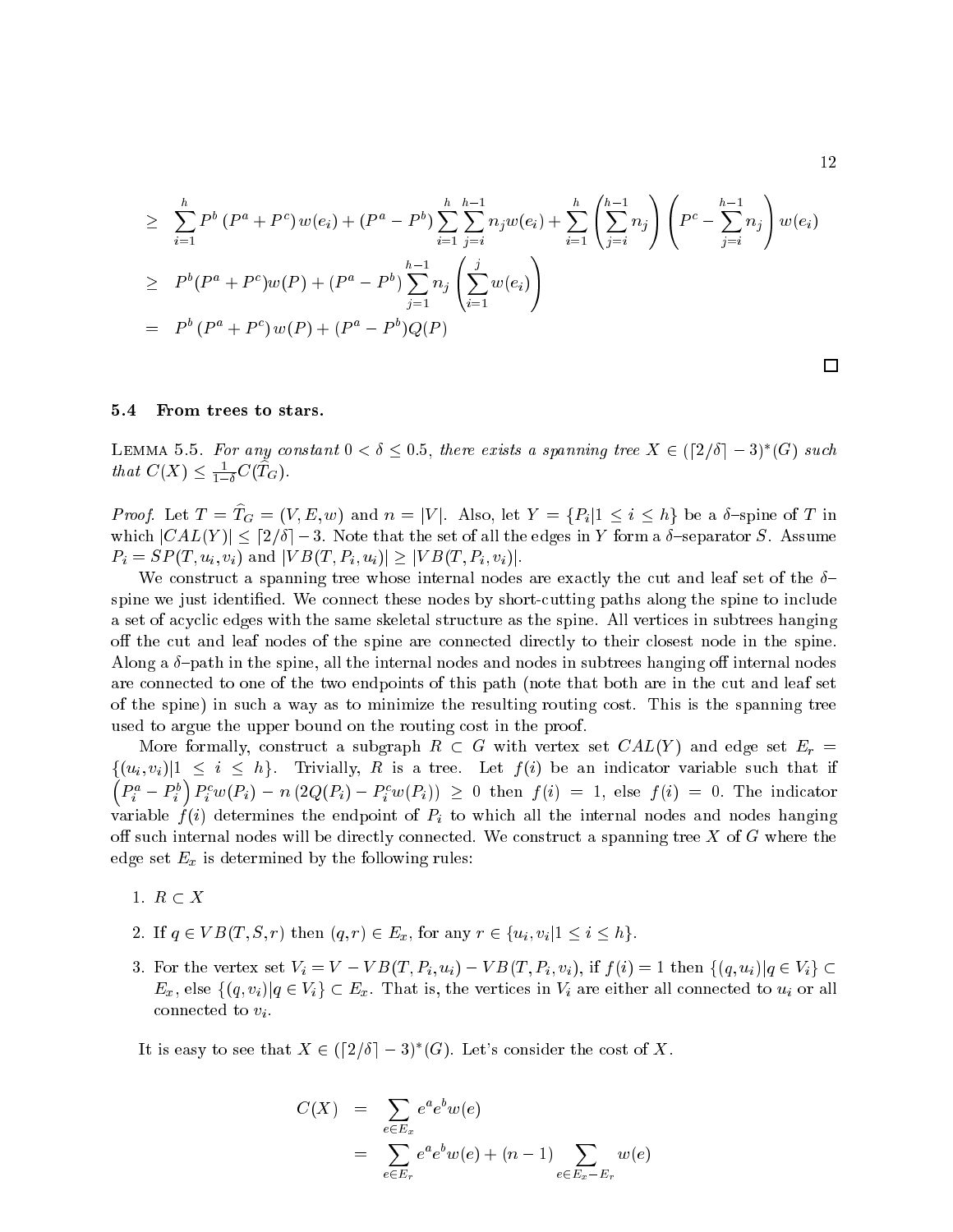$$
\geq \sum_{i=1}^{h} P^{b} (P^{a} + P^{c}) w(e_{i}) + (P^{a} - P^{b}) \sum_{i=1}^{h} \sum_{j=i}^{h-1} n_{j} w(e_{i}) + \sum_{i=1}^{h} \left( \sum_{j=i}^{h-1} n_{j} \right) \left( P^{c} - \sum_{j=i}^{h-1} n_{j} \right) w(e_{i})
$$
\n
$$
\geq P^{b} (P^{a} + P^{c}) w(P) + (P^{a} - P^{b}) \sum_{j=1}^{h-1} n_{j} \left( \sum_{i=1}^{j} w(e_{i}) \right)
$$
\n
$$
= P^{b} (P^{a} + P^{c}) w(P) + (P^{a} - P^{b}) Q(P)
$$

## 5.4 From trees to stars.

LEMMA 5.5. For any constant  $0 < \delta \leq 0.5$ , there exists a spanning tree  $X \in (\lceil 2/\delta \rceil -3)^*(G)$  such that  $C(X) \leq \frac{1}{1-\delta}C(T_G)$ .

*Proof.* Let  $T = T_G = (V, E, w)$  and  $n = |V|$ . Also, let  $Y = \{P_i | 1 \le i \le h\}$  be a  $\delta$ -spine of T in which  $|CAL(Y)| \leq [2/\delta] - 3$ . Note that the set of all the edges in Y form a  $\delta$ -separator S. Assume  $P_i = SP(T, u_i, v_i)$  and  $|VB(T, P_i, u_i)| \geq |VB(T, P_i, v_i)|$ .

We construct a spanning tree whose internal nodes are exactly the cut and leaf set of the  $\delta$ spine we just identied. We connect these nodes by short-cutting paths along the spine to include a set of acyclic edges with the same skeletal structure as the spine. All vertices in subtrees hanging off the cut and leaf nodes of the spine are connected directly to their closest node in the spine. Along a  $\delta$ -path in the spine, all the internal nodes and nodes in subtrees hanging off internal nodes are connected to one of the two endpoints of this path (note that both are in the cut and leaf set of the spine) in such a way as to minimize the resulting routing cost. This is the spanning tree used to argue the upper bound on the routing cost in the proof.

More formally, construct a subgraph  $R \subset G$  with vertex set  $CAL(Y)$  and edge set  $E_r =$  $\{(u_i, v_i)|1 \leq i \leq h\}$ . Trivially, R is a tree. Let  $f(i)$  be an indicator variable such that if  $\left( P_{i}^{a}-P_{i}^{b}\right)$  $\int P_i^c w(P_i) - n (2Q(P_i) - P_i^c w(P_i)) \ge 0$  then  $f(i) = 1$ , else  $f(i) = 0$ . The indicator variable  $f(i)$  determines the endpoint of  $P_i$  to which all the internal nodes and nodes hanging off such internal nodes will be directly connected. We construct a spanning tree  $X$  of  $G$  where the edge set  $E_x$  is determined by the following rules:

- 1.  $R \subset X$
- 2. If  $q \in VB(T, S, r)$  then  $(q, r) \in E_x$ , for any  $r \in \{u_i, v_i | 1 \leq i \leq h\}.$
- 3. For the vertex set  $V_i = V VB(T, P_i, u_i) VB(T, P_i, v_i)$ , if  $f(i) = 1$  then  $\{(q, u_i) | q \in V_i\} \subset$  $E_x$ , else  $\{(q, v_i) | q \in V_i\} \subset E_x$ . That is, the vertices in  $V_i$  are either all connected to  $u_i$  or all connected to  $v_i$ .

It is easy to see that  $X \in (\lceil 2/\delta \rceil - 3)^*(G)$ . Let's consider the cost of X.

$$
C(X) = \sum_{e \in E_x} e^a e^b w(e)
$$
  
= 
$$
\sum_{e \in E_r} e^a e^b w(e) + (n-1) \sum_{e \in E_x - E_r} w(e)
$$

 $\Box$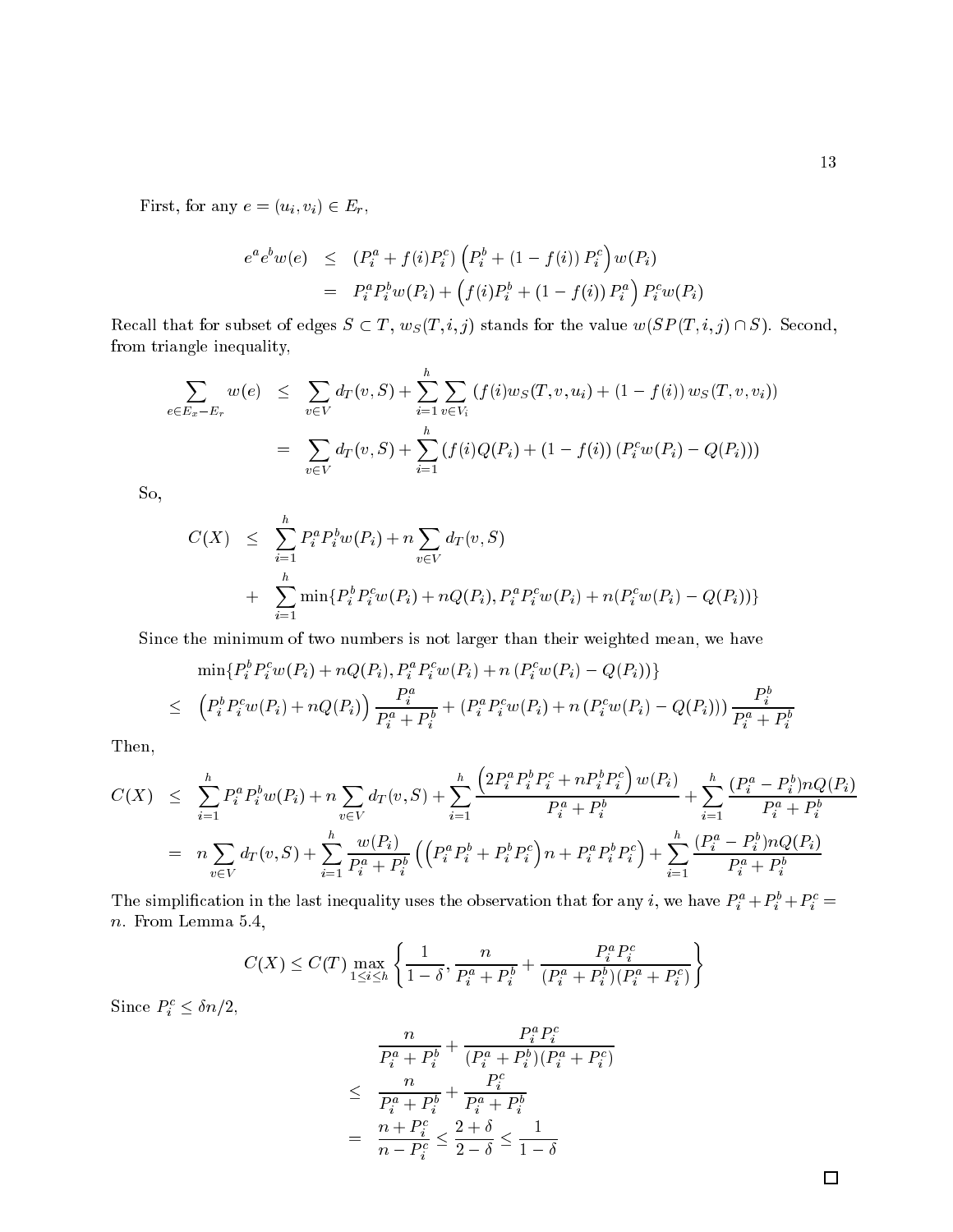First, for any  $e = (u_i, v_i) \in E_r$ ,

$$
e^{a}e^{b}w(e) \leq (P_{i}^{a} + f(i)P_{i}^{c}) \left(P_{i}^{b} + (1 - f(i)) P_{i}^{c}\right) w(P_{i})
$$
  
= 
$$
P_{i}^{a} P_{i}^{b}w(P_{i}) + (f(i)P_{i}^{b} + (1 - f(i)) P_{i}^{a}) P_{i}^{c}w(P_{i})
$$

Recall that for subset of edges  $S \subset T$ ,  $w_S(T, i, j)$  stands for the value  $w(SP(T, i, j) \cap S)$ . Second, from triangle inequality,

$$
\sum_{e \in E_x - E_r} w(e) \leq \sum_{v \in V} d_T(v, S) + \sum_{i=1}^h \sum_{v \in V_i} (f(i)w_S(T, v, u_i) + (1 - f(i))w_S(T, v, v_i))
$$
  
= 
$$
\sum_{v \in V} d_T(v, S) + \sum_{i=1}^h (f(i)Q(P_i) + (1 - f(i)) (P_i^c w(P_i) - Q(P_i)))
$$

So,

$$
C(X) \leq \sum_{i=1}^{h} P_i^a P_i^b w(P_i) + n \sum_{v \in V} d_T(v, S)
$$
  
+ 
$$
\sum_{i=1}^{h} \min \{ P_i^b P_i^c w(P_i) + nQ(P_i), P_i^a P_i^c w(P_i) + n(P_i^c w(P_i) - Q(P_i)) \}
$$

Since the minimum of two numbers is not larger than their weighted mean, we have

$$
\min\{P_i^b P_i^c w(P_i) + nQ(P_i), P_i^a P_i^c w(P_i) + n (P_i^c w(P_i) - Q(P_i))\}
$$
\n
$$
\leq (P_i^b P_i^c w(P_i) + n Q(P_i)) \frac{P_i^a}{P_i^a + P_i^b} + (P_i^a P_i^c w(P_i) + n (P_i^c w(P_i) - Q(P_i))) \frac{P_i^b}{P_i^a + P_i^b}
$$

Then,

$$
C(X) \leq \sum_{i=1}^{h} P_i^a P_i^b w(P_i) + n \sum_{v \in V} d_T(v, S) + \sum_{i=1}^{h} \frac{\left(2P_i^a P_i^b P_i^c + n P_i^b P_i^c\right) w(P_i)}{P_i^a + P_i^b} + \sum_{i=1}^{h} \frac{\left(P_i^a - P_i^b\right) n Q(P_i)}{P_i^a + P_i^b}
$$
  
= 
$$
n \sum_{v \in V} d_T(v, S) + \sum_{i=1}^{h} \frac{w(P_i)}{P_i^a + P_i^b} \left(\left(P_i^a P_i^b + P_i^b P_i^c\right) n + P_i^a P_i^b P_i^c\right) + \sum_{i=1}^{h} \frac{\left(P_i^a - P_i^b\right) n Q(P_i)}{P_i^a + P_i^b}
$$

The simplification in the last inequality uses the observation that for any i, we have  $P_i^a + P_i^b + P_i^c =$ n. From Lemma 5.4,

$$
C(X) \leq C(T) \max_{1 \leq i \leq h} \left\{ \frac{1}{1-\delta}, \frac{n}{P_i^a + P_i^b} + \frac{P_i^a P_i^c}{(P_i^a + P_i^b)(P_i^a + P_i^c)} \right\}
$$

Since  $P_i^c \leq \delta n/2$ ,

$$
\frac{n}{P_i^a + P_i^b} + \frac{P_i^a P_i^c}{(P_i^a + P_i^b)(P_i^a + P_i^c)}
$$
\n
$$
\leq \frac{n}{P_i^a + P_i^b} + \frac{P_i^c}{P_i^a + P_i^b}
$$
\n
$$
= \frac{n + P_i^c}{n - P_i^c} \leq \frac{2 + \delta}{2 - \delta} \leq \frac{1}{1 - \delta}
$$

 $\Box$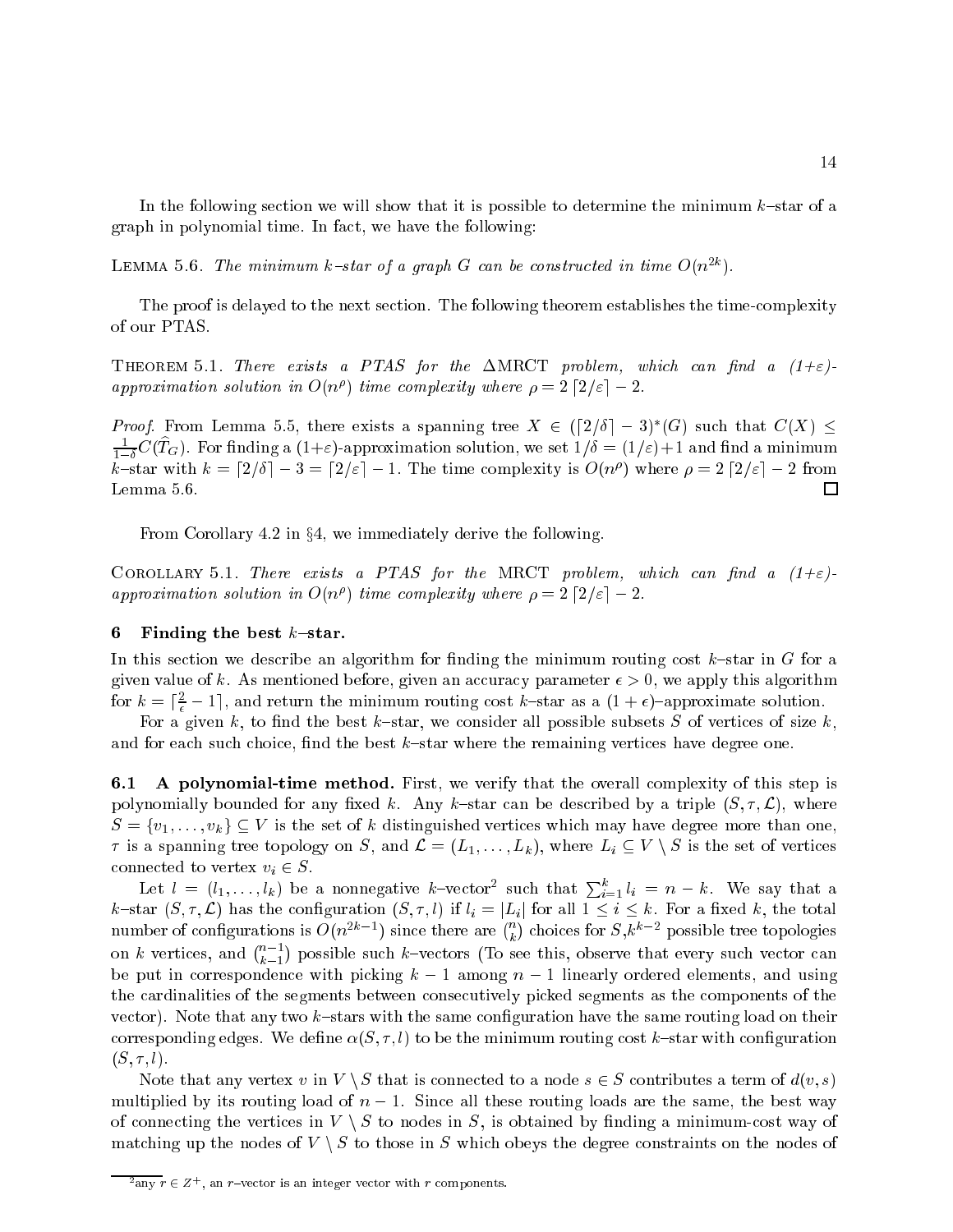In the following section we will show that it is possible to determine the minimum  $k$ -star of a graph in polynomial time. In fact, we have the following:

LEMMA 5.6. The minimum k-star of a graph G can be constructed in time  $O(n^{2k})$ .

The proof is delayed to the next section. The following theorem establishes the time-complexity of our PTAS.

THEOREM 5.1. There exists a PTAS for the  $\Delta M RCT$  problem, which can find a  $(1+\varepsilon)$ approximation solution in  $O(n^{\rho})$  time complexity where  $\rho = 2 \lceil 2/\varepsilon \rceil - 2$ .

*Proof.* From Lemma 5.5, there exists a spanning tree  $X \in (\lceil 2/\delta \rceil - 3)^*(G)$  such that  $C(X) \leq$  $\frac{1}{1-\delta}C(T_G)$ . For finding a  $(1+\varepsilon)$ -approximation solution, we set  $1/\delta = (1/\varepsilon) + 1$  and find a minimum k–star with  $k = \lceil 2/\delta \rceil - 3 = \lceil 2/\varepsilon \rceil - 1$ . The time complexity is  $O(n^{\rho})$  where  $\rho = 2 \lceil 2/\varepsilon \rceil - 2$  from Lemma 5.6.  $\Box$ 

From Corollary 4.2 in  $\S4$ , we immediately derive the following.

COROLLARY 5.1. There exists a PTAS for the MRCT problem, which can find a  $(1+\varepsilon)$ approximation solution in  $O(n^{\rho})$  time complexity where  $\rho = 2 \lceil 2/\varepsilon \rceil - 2$ .

#### 6 Finding the best  $k$ -star.

In this section we describe an algorithm for finding the minimum routing cost  $k$ -star in G for a given value of k. As mentioned before, given an accuracy parameter  $\epsilon > 0$ , we apply this algorithm for  $k = \lceil \frac{2}{\epsilon} - 1 \rceil$ , and return the minimum routing cost k-star as a  $(1 + \epsilon)$ -approximate solution.

For a given k, to find the best k-star, we consider all possible subsets S of vertices of size k, and for each such choice, find the best  $k$ -star where the remaining vertices have degree one.

6.1 A polynomial-time method. First, we verify that the overall complexity of this step is polynomially bounded for any fixed k. Any k-star can be described by a triple  $(S, \tau, \mathcal{L})$ , where  $S = \{v_1, \ldots, v_k\} \subseteq V$  is the set of k distinguished vertices which may have degree more than one,  $\tau$  is a spanning tree topology on S, and  $\mathcal{L} = (L_1, \ldots, L_k)$ , where  $L_i \subseteq V \setminus S$  is the set of vertices connected to vertex  $v_i \in S$ .

Let  $l = (l_1, \ldots, l_k)$  be a nonnegative k-vector<sup>2</sup> such that  $\sum_{i=1}^k l_i = n - k$ . We say that a  $k$ -star  $(S, \tau, \mathcal{L})$  has the configuration  $(S, \tau, l)$  if  $l_i = |L_i|$  for all  $1 \leq i \leq k$ . For a fixed k, the total number of configurations is  $O(n^{2k-1})$  since there are  $\binom{n}{k}$ ) choices for  $S, k^{k-2}$  possible tree topologies on k vertices, and  $\binom{n-1}{k}$  possible such k-vectors (To see this, observe that every such vector can be put in correspondence with picking  $k - 1$  among  $n - 1$  linearly ordered elements, and using the cardinalities of the segments between consecutively picked segments as the components of the vector). Note that any two  $k$ -stars with the same configuration have the same routing load on their corresponding edges. We define  $\alpha(S, \tau, l)$  to be the minimum routing cost k-star with configuration  $(S, \tau, l).$ 

Note that any vertex v in  $V \setminus S$  that is connected to a node  $s \in S$  contributes a term of  $d(v, s)$ multiplied by its routing load of  $n - 1$ . Since all these routing loads are the same, the best way of connecting the vertices in  $V \setminus S$  to nodes in S, is obtained by finding a minimum-cost way of matching up the nodes of  $V \setminus S$  to those in S which obeys the degree constraints on the nodes of

<sup>-</sup>any  $r \in \mathbb{Z}^+$ , an r-vector is an integer vector with r components.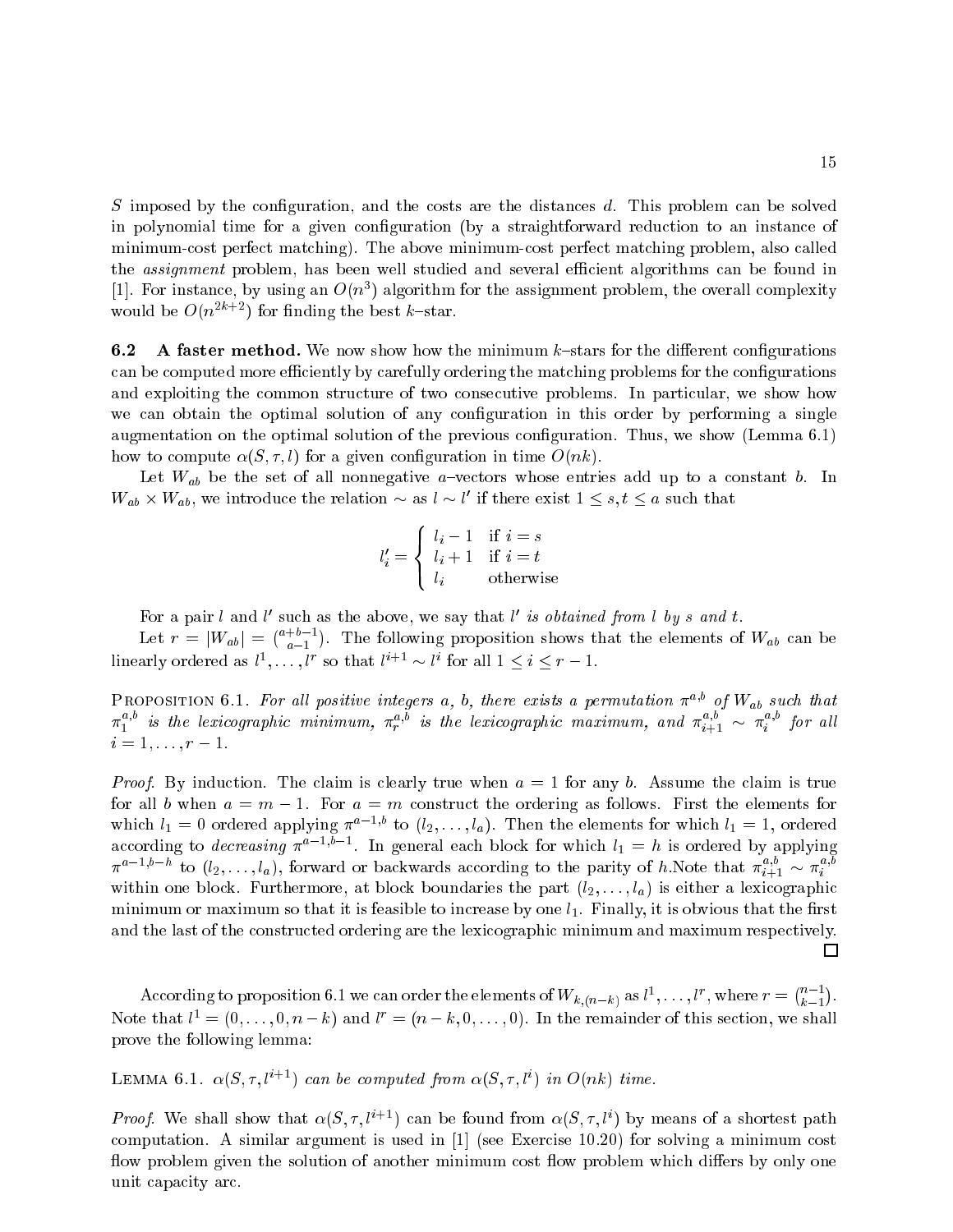$S$  imposed by the configuration, and the costs are the distances  $d$ . This problem can be solved in polynomial time for a given conguration (by a straightforward reduction to an instance of minimum-cost perfect matching). The above minimum-cost perfect matching problem, also called the *assignment* problem, has been well studied and several efficient algorithms can be found in [1]. For instance, by using an  $O(n^3)$  algorithm for the assignment problem, the overall complexity would be  $O(n^{2k+2})$  for finding the best k-star.

**6.2** A faster method. We now show how the minimum  $k$ -stars for the different configurations can be computed more efficiently by carefully ordering the matching problems for the configurations and exploiting the common structure of two consecutive problems. In particular, we show how we can obtain the optimal solution of any configuration in this order by performing a single augmentation on the optimal solution of the previous conguration. Thus, we show (Lemma 6.1) how to compute  $\alpha(S, \tau, l)$  for a given configuration in time  $O(nk)$ .

Let  $W_{ab}$  be the set of all nonnegative *a*-vectors whose entries add up to a constant b. In  $W_{ab} \times W_{ab}$ , we introduce the relation  $\sim$  as  $l \sim l'$  if there exist  $1 \leq s, t \leq a$  such that

$$
l'_i = \begin{cases} l_i - 1 & \text{if } i = s \\ l_i + 1 & \text{if } i = t \\ l_i & \text{otherwise} \end{cases}
$$

For a pair l and l' such as the above, we say that l' is obtained from l by s and t.

Let  $r = |W_{ab}| = \binom{a+b-1}{a-1}$  $-1$ ). The following proposition shows that the elements of  $W_{ab}$  can be linearly ordered as  $l^1, \ldots, l^r$  so that  $l^{i+1} \sim l^i$  for all  $1 \leq i \leq r-1$ .

PROPOSITION 6.1. For all positive integers a, b, there exists a permutation  $\pi^{a,o}$  of  $W_{ab}$  such that  $\pi_1^{**}$  is the lexicographic minimum,  $\pi_r^{**}$  is the lexicographic maximum, and  $\pi_{i+1}^{**} \sim \pi_i^{**}$  $i \longrightarrow$  $i = 1, \ldots, r - 1.$ 

*Proof.* By induction. The claim is clearly true when  $a = 1$  for any b. Assume the claim is true for all b when  $a = m - 1$ . For  $a = m$  construct the ordering as follows. First the elements for which  $l_1 = 0$  ordered applying  $\pi^{a-1, b}$  to  $(l_2, \ldots, l_a)$ . Then the elements for which  $l_1 = 1$ , ordered according to *decreasing*  $\pi^{a-1}, b-1$ . In general each block for which  $l_1 = h$  is ordered by applying  $\pi^{a-1,b-n}$  to  $(l_2,\ldots,l_a)$ , forward or backwards according to the parity of h.Note that  $\pi^{a,b}_{i+1} \sim \pi^{a,b}_i$ within one block. Furthermore, at block boundaries the part  $(l_2, \ldots, l_a)$  is either a lexicographic minimum or maximum so that it is feasible to increase by one  $l_1$ . Finally, it is obvious that the first and the last of the constructed ordering are the lexicographic minimum and maximum respectively.  $\Box$ 

According to proposition 6.1 we can order the elements of  $W_{k,(n-k)}$  as  $l^1,\ldots,l^r$ , where  $r = \binom{n-1}{k-1}$ Note that  $l^1 = (0, \ldots, 0, n-k)$  and  $l^r = (n-k, 0, \ldots, 0)$ . In the remainder of this section, we shall prove the following lemma:

LEMMA 6.1.  $\alpha(S, \tau, l^{i+1})$  can be computed from  $\alpha(S, \tau, l^i)$  in  $O(nk)$  time.

*Proof.* We shall show that  $\alpha(S, \tau, l^{i+1})$  can be found from  $\alpha(S, \tau, l^{i})$  by means of a shortest path computation. A similar argument is used in [1] (see Exercise 10.20) for solving a minimum cost flow problem given the solution of another minimum cost flow problem which differs by only one unit capacity arc.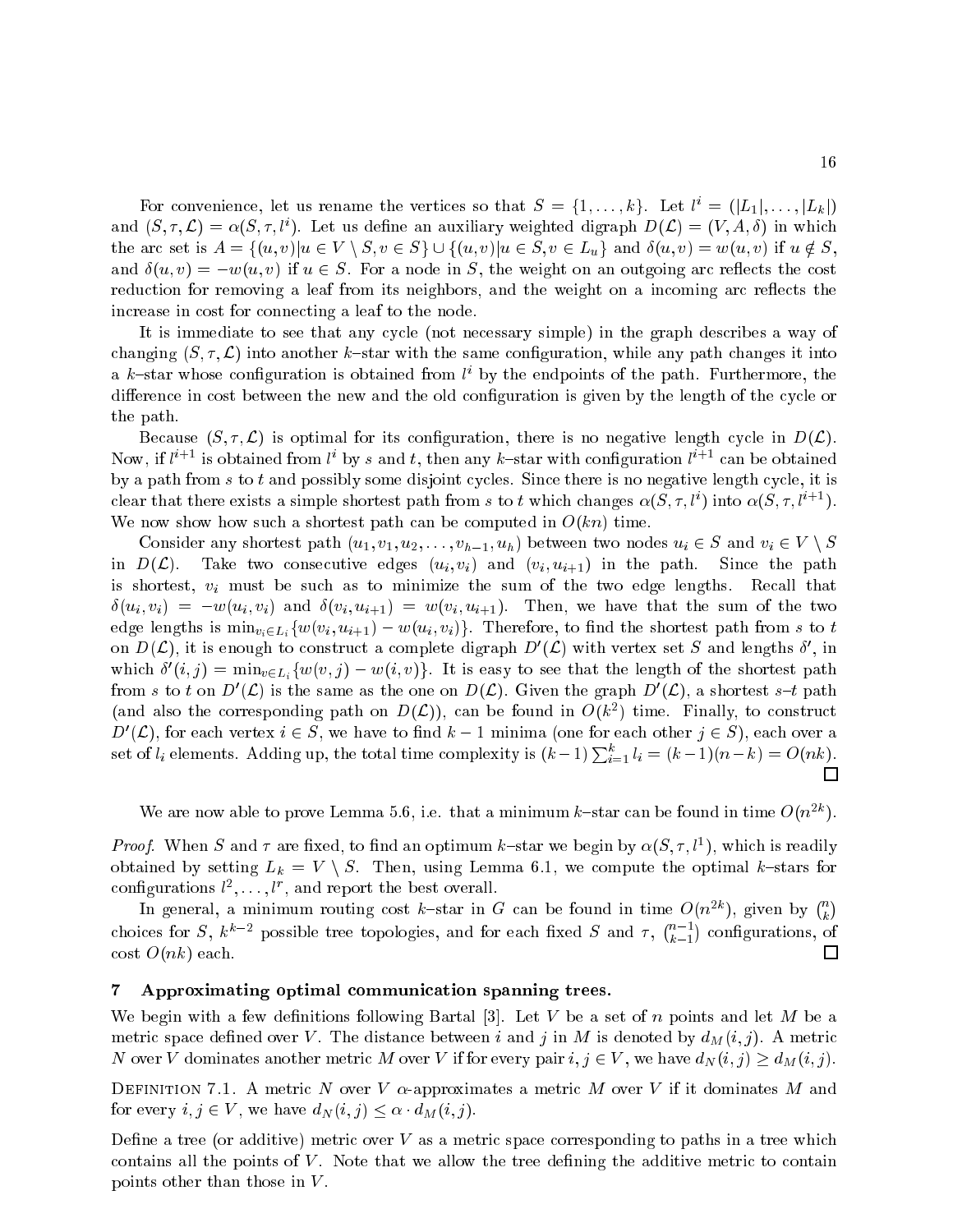For convenience, let us rename the vertices so that  $S = \{1, \ldots, k\}$ . Let  $l^i = (|L_1|, \ldots, |L_k|)$ and  $(S, \tau, \mathcal{L}) = \alpha(S, \tau, l^{\prime})$ . Let us define an auxiliary weighted digraph  $D(\mathcal{L}) = (V, A, \delta)$  in which the arc set is  $A = \{(u, v) | u \in V \setminus S, v \in S\} \cup \{(u, v) | u \in S, v \in L_u\}$  and  $\delta(u, v) = w(u, v)$  if  $u \notin S$ , and  $\delta(u, v) = -w(u, v)$  if  $u \in S$ . For a node in S, the weight on an outgoing arc reflects the cost reduction for removing a leaf from its neighbors, and the weight on a incoming arc reflects the increase in cost for connecting a leaf to the node.

It is immediate to see that any cycle (not necessary simple) in the graph describes a way of changing  $(S, \tau, \mathcal{L})$  into another k-star with the same configuration, while any path changes it into a k-star whose configuration is obtained from  $l^i$  by the endpoints of the path. Furthermore, the difference in cost between the new and the old configuration is given by the length of the cycle or the path.

Because  $(S, \tau, \mathcal{L})$  is optimal for its configuration, there is no negative length cycle in  $D(\mathcal{L})$ . Now, if  $l^{i+1}$  is obtained from  $l^i$  by s and t, then any k-star with configuration  $l^{i+1}$  can be obtained by a path from  $s$  to  $t$  and possibly some disjoint cycles. Since there is no negative length cycle, it is clear that there exists a simple shortest path from s to t which changes  $\alpha(S, \tau, l^i)$  into  $\alpha(S, \tau, l^{i+1})$ . We now show how such a shortest path can be computed in  $O(kn)$  time.

Consider any shortest path  $(u_1, v_1, u_2, \ldots, v_{h-1}, u_h)$  between two nodes  $u_i \in S$  and  $v_i \in V \setminus S$ in  $D(\mathcal{L})$ . Take two consecutive edges  $(u_i, v_i)$  and  $(v_i, u_{i+1})$  in the path. Since the path is shortest,  $v_i$  must be such as to minimize the sum of the two edge lengths. Recall that  $\delta(u_i, v_i) = -w(u_i, v_i)$  and  $\delta(v_i, u_{i+1}) = w(v_i, u_{i+1})$ . Then, we have that the sum of the two edge lengths is  $\min_{v_i \in L_i} \{w(v_i, u_{i+1}) - w(u_i, v_i)\}\.$  Therefore, to find the shortest path from s to t on  $D(\mathcal{L})$ , it is enough to construct a complete digraph  $D'(\mathcal{L})$  with vertex set S and lengths  $\delta'$ , in which  $\delta'(i, j) = \min_{v \in L_i} \{w(v, j) - w(i, v)\}.$  It is easy to see that the length of the shortest path from s to t on  $D'(\mathcal{L})$  is the same as the one on  $D(\mathcal{L})$ . Given the graph  $D'(\mathcal{L})$ , a shortest s-t path (and also the corresponding path on  $D(\mathcal{L})$ ), can be found in  $O(k^2)$  time. Finally, to construct  $D'(\mathcal{L})$ , for each vertex  $i \in S$ , we have to find  $k-1$  minima (one for each other  $j \in S$ ), each over a set of  $l_i$  elements. Adding up, the total time complexity is  $(k-1)\sum_{i=1}^{k} l_i = (k-1)(n-k) = O(nk)$ . П

We are now able to prove Lemma 5.6, i.e. that a minimum k-star can be found in time  $O(n^{2k})$ .

*Proof.* When S and  $\tau$  are fixed, to find an optimum k–star we begin by  $\alpha(S, \tau, l^1)$ , which is readily obtained by setting  $L_k = V \setminus S$ . Then, using Lemma 6.1, we compute the optimal k-stars for configurations  $l^2, \ldots, l^r$ , and report the best overall.

In general, a minimum routing cost k-star in G can be found in time  $O(n^{2k})$ , given by  $\binom{n}{k}$  $\sim$ choices for S,  $k^{k-2}$  possible tree topologies, and for each fixed S and  $\tau$ ,  $\binom{n-1}{k}$ congression and contact the contact of the contact of the contact of the contact of the contact of the contact of the contact of the contact of the contact of the contact of the contact of the contact of the contact of the . . cost  $O(nk)$  each.  $\Box$ 

# 7 Approximating optimal communication spanning trees.

We begin with a few definitions following Bartal [3]. Let V be a set of n points and let  $M$  be a metric space defined over V. The distance between i and j in M is denoted by  $d_M(i,j)$ . A metric N over V dominates another metric M over V if for every pair  $i, j \in V$ , we have  $d_N(i, j) \ge d_M(i, j)$ .

DEFINITION 7.1. A metric N over V  $\alpha$ -approximates a metric M over V if it dominates M and for every  $i, j \in V$ , we have  $d_N(i, j) \leq \alpha \cdot d_M(i, j)$ .

Define a tree (or additive) metric over  $V$  as a metric space corresponding to paths in a tree which contains all the points of  $V$ . Note that we allow the tree defining the additive metric to contain points other than those in V.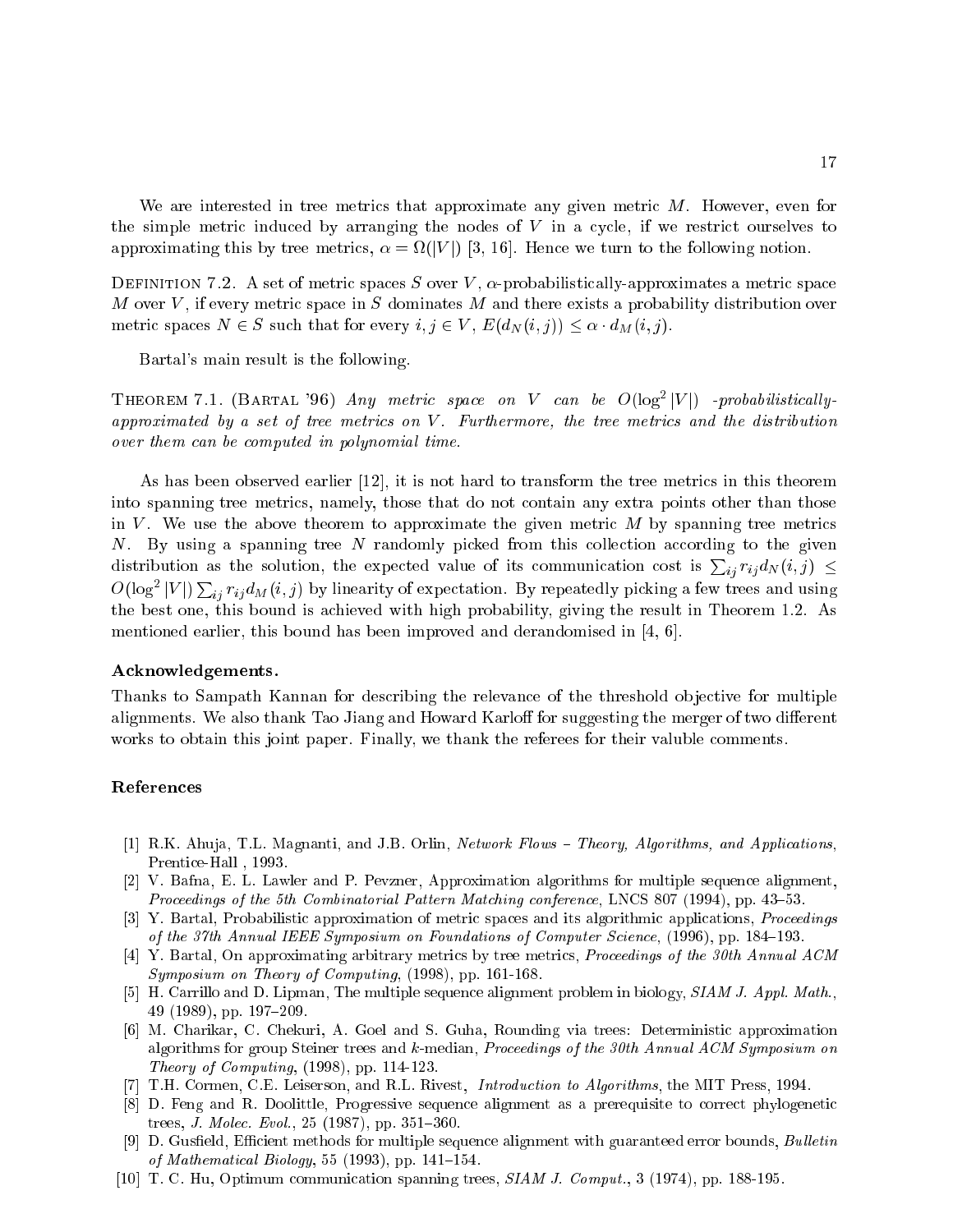We are interested in tree metrics that approximate any given metric M. However, even for the simple metric induced by arranging the nodes of  $V$  in a cycle, if we restrict ourselves to approximating this by tree metrics,  $\alpha = \Omega(|V|)$  [3, 16]. Hence we turn to the following notion.

DEFINITION 7.2. A set of metric spaces S over V,  $\alpha$ -probabilistically-approximates a metric space M over V, if every metric space in S dominates M and there exists a probability distribution over metric spaces  $N \in S$  such that for every  $i, j \in V$ ,  $E(d_N(i, j)) \leq \alpha \cdot d_M(i, j)$ .

Bartal's main result is the following.

THEOREM 7.1. (BARTAL '96) Any metric space on V can be  $O(\log^2 |V|)$  -probabilisticallyapproximated by a set of tree metrics on  $V$ . Furthermore, the tree metrics and the distribution over them can be computed in polynomial time.

As has been observed earlier [12], it is not hard to transform the tree metrics in this theorem into spanning tree metrics, namely, those that do not contain any extra points other than those in V. We use the above theorem to approximate the given metric  $M$  by spanning tree metrics N. By using a spanning tree N randomly picked from this collection according to the given distribution as the solution, the expected value of its communication cost is  $\sum_{ij} r_{ij} d_N(i, j) \leq$  $O(\log^2 |V|) \sum_{ij} r_{ij} d_M(i, j)$  by linearity of expectation. By repeatedly picking a few trees and using the best one, this bound is achieved with high probability, giving the result in Theorem 1.2. As mentioned earlier, this bound has been improved and derandomised in [4, 6].

#### Acknowledgements.

Thanks to Sampath Kannan for describing the relevance of the threshold ob jective for multiple alignments. We also thank Tao Jiang and Howard Karloff for suggesting the merger of two different works to obtain this joint paper. Finally, we thank the referees for their valuble comments.

#### References

- [1] R.K. Ahuja, T.L. Magnanti, and J.B. Orlin, Network Flows Theory, Algorithms, and Applications, Prentice-Hall , 1993.
- [2] V. Bafna, E. L. Lawler and P. Pevzner, Approximation algorithms for multiple sequence alignment, Proceedings of the 5th Combinatorial Pattern Matching conference, LNCS 807 (1994), pp. 43–53.
- [3] Y. Bartal, Probabilistic approximation of metric spaces and its algorithmic applications, Proceedings of the 37th Annual IEEE Symposium on Foundations of Computer Science, (1996), pp. 184-193.
- [4] Y. Bartal, On approximating arbitrary metrics by tree metrics, Proceedings of the 30th Annual ACM Symposium on Theory of Computing, (1998), pp. 161-168.
- [5] H. Carrillo and D. Lipman, The multiple sequence alignment problem in biology, SIAM J. Appl. Math., 49 (1989), pp. 197-209.
- [6] M. Charikar, C. Chekuri, A. Goel and S. Guha, Rounding via trees: Deterministic approximation algorithms for group Steiner trees and k-median, Proceedings of the 30th Annual ACM Symposium on Theory of Computing, (1998), pp. 114-123.
- [7] T.H. Cormen, C.E. Leiserson, and R.L. Rivest, Introduction to Algorithms, the MIT Press, 1994.
- [8] D. Feng and R. Doolittle, Progressive sequence alignment as a prerequisite to correct phylogenetic trees, *J. Molec. Evol.*,  $25$  (1987), pp.  $351–360$ .
- [9] D. Gusfield, Efficient methods for multiple sequence alignment with guaranteed error bounds, Bulletin of Mathematical Biology, 55 (1993), pp.  $141–154$ .
- [10] T. C. Hu, Optimum communication spanning trees, SIAM J. Comput., 3 (1974), pp. 188-195.